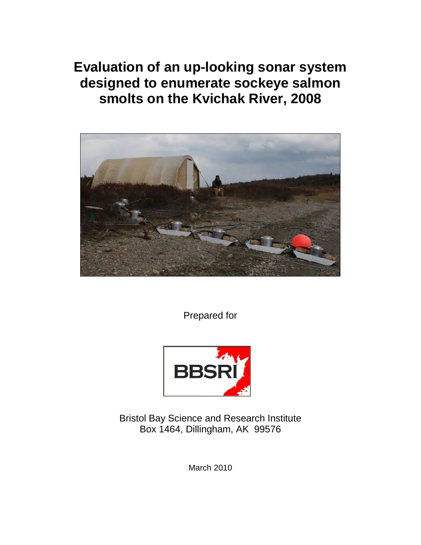**Evaluation of an up-looking sonar system designed to enumerate sockeye salmon smolts on the Kvichak River, 2008**



Prepared for



Bristol Bay Science and Research Institute Box 1464, Dillingham, AK 99576

March 2010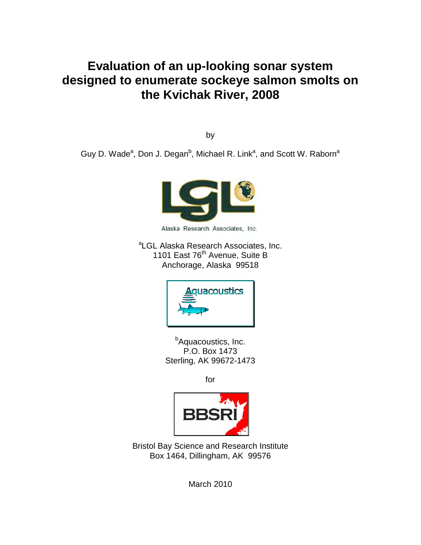# **Evaluation of an up-looking sonar system designed to enumerate sockeye salmon smolts on the Kvichak River, 2008**

by

Guy D. Wade<sup>a</sup>, Don J. Degan<sup>b</sup>, Michael R. Link<sup>a</sup>, and Scott W. Raborn<sup>a</sup>



Alaska Research Associates, Inc.

<sup>a</sup>LGL Alaska Research Associates, Inc. 1101 East 76<sup>th</sup> Avenue, Suite B Anchorage, Alaska 99518



<sup>b</sup>Aquacoustics, Inc. P.O. Box 1473 Sterling, AK 99672-1473

for



Bristol Bay Science and Research Institute Box 1464, Dillingham, AK 99576

March 2010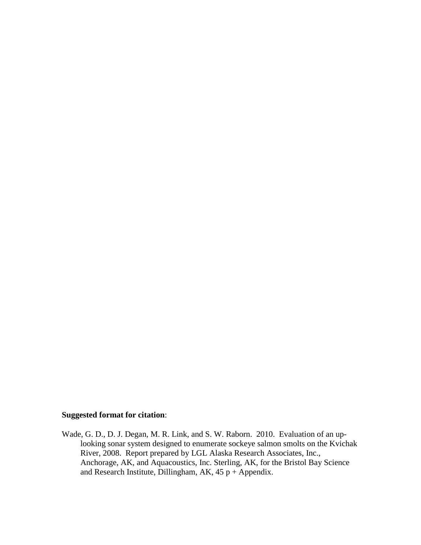#### **Suggested format for citation**:

Wade, G. D., D. J. Degan, M. R. Link, and S. W. Raborn. 2010. Evaluation of an uplooking sonar system designed to enumerate sockeye salmon smolts on the Kvichak River, 2008. Report prepared by LGL Alaska Research Associates, Inc., Anchorage, AK, and Aquacoustics, Inc. Sterling, AK, for the Bristol Bay Science and Research Institute, Dillingham, AK,  $45p +$ Appendix.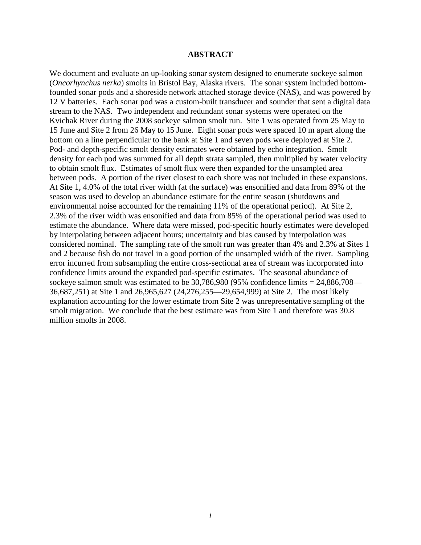#### **ABSTRACT**

We document and evaluate an up-looking sonar system designed to enumerate sockeye salmon (*Oncorhynchus nerka*) smolts in Bristol Bay, Alaska rivers. The sonar system included bottomfounded sonar pods and a shoreside network attached storage device (NAS), and was powered by 12 V batteries. Each sonar pod was a custom-built transducer and sounder that sent a digital data stream to the NAS. Two independent and redundant sonar systems were operated on the Kvichak River during the 2008 sockeye salmon smolt run. Site 1 was operated from 25 May to 15 June and Site 2 from 26 May to 15 June. Eight sonar pods were spaced 10 m apart along the bottom on a line perpendicular to the bank at Site 1 and seven pods were deployed at Site 2. Pod- and depth-specific smolt density estimates were obtained by echo integration. Smolt density for each pod was summed for all depth strata sampled, then multiplied by water velocity to obtain smolt flux. Estimates of smolt flux were then expanded for the unsampled area between pods. A portion of the river closest to each shore was not included in these expansions. At Site 1, 4.0% of the total river width (at the surface) was ensonified and data from 89% of the season was used to develop an abundance estimate for the entire season (shutdowns and environmental noise accounted for the remaining 11% of the operational period). At Site 2, 2.3% of the river width was ensonified and data from 85% of the operational period was used to estimate the abundance. Where data were missed, pod-specific hourly estimates were developed by interpolating between adjacent hours; uncertainty and bias caused by interpolation was considered nominal. The sampling rate of the smolt run was greater than 4% and 2.3% at Sites 1 and 2 because fish do not travel in a good portion of the unsampled width of the river. Sampling error incurred from subsampling the entire cross-sectional area of stream was incorporated into confidence limits around the expanded pod-specific estimates. The seasonal abundance of sockeye salmon smolt was estimated to be  $30,786,980$  (95% confidence limits = 24,886,708— 36,687,251) at Site 1 and 26,965,627 (24,276,255—29,654,999) at Site 2. The most likely explanation accounting for the lower estimate from Site 2 was unrepresentative sampling of the smolt migration. We conclude that the best estimate was from Site 1 and therefore was 30.8 million smolts in 2008.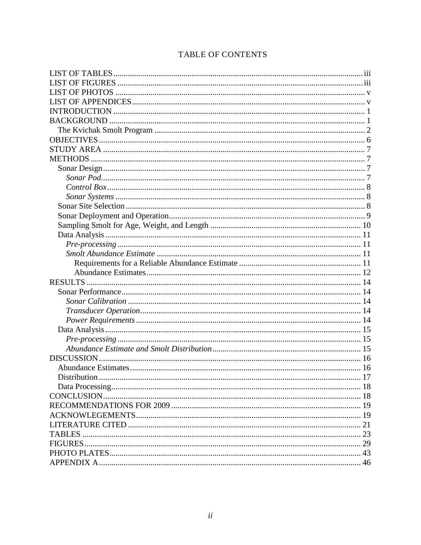### TABLE OF CONTENTS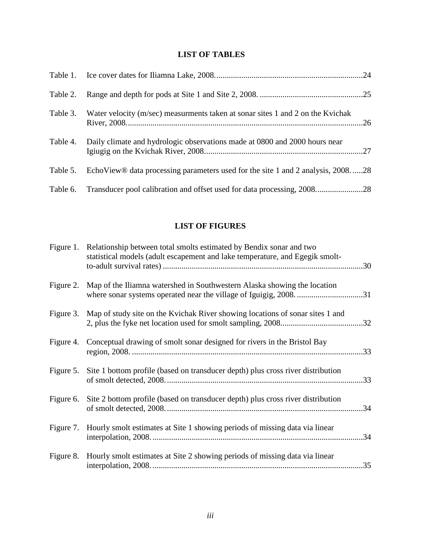#### <span id="page-6-0"></span>**LIST OF TABLES**

| Table 2. |                                                                                   |  |
|----------|-----------------------------------------------------------------------------------|--|
| Table 3. | Water velocity (m/sec) measurments taken at sonar sites 1 and 2 on the Kvichak    |  |
| Table 4. | Daily climate and hydrologic observations made at 0800 and 2000 hours near        |  |
| Table 5. | EchoView® data processing parameters used for the site 1 and 2 analysis, 2008. 28 |  |
| Table 6. | Transducer pool calibration and offset used for data processing, 200828           |  |

#### **LIST OF FIGURES**

<span id="page-6-1"></span>

| Figure 1. | Relationship between total smolts estimated by Bendix sonar and two<br>statistical models (adult escapement and lake temperature, and Egegik smolt- | 30  |
|-----------|-----------------------------------------------------------------------------------------------------------------------------------------------------|-----|
| Figure 2. | Map of the Iliamna watershed in Southwestern Alaska showing the location                                                                            |     |
| Figure 3. | Map of study site on the Kvichak River showing locations of sonar sites 1 and                                                                       |     |
| Figure 4. | Conceptual drawing of smolt sonar designed for rivers in the Bristol Bay                                                                            |     |
| Figure 5. | Site 1 bottom profile (based on transducer depth) plus cross river distribution                                                                     |     |
| Figure 6. | Site 2 bottom profile (based on transducer depth) plus cross river distribution                                                                     | .34 |
| Figure 7. | Hourly smolt estimates at Site 1 showing periods of missing data via linear                                                                         |     |
| Figure 8. | Hourly smolt estimates at Site 2 showing periods of missing data via linear                                                                         |     |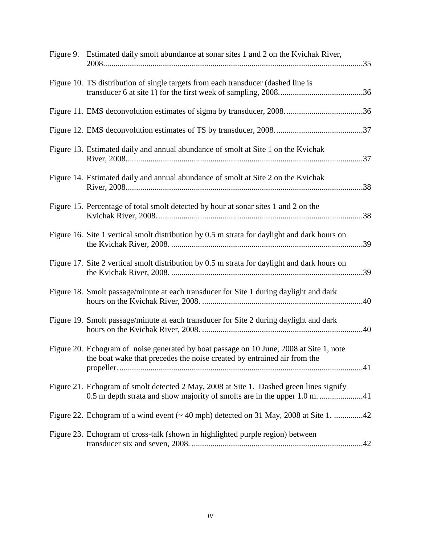| Figure 9. Estimated daily smolt abundance at sonar sites 1 and 2 on the Kvichak River,                                                                             |  |
|--------------------------------------------------------------------------------------------------------------------------------------------------------------------|--|
| Figure 10. TS distribution of single targets from each transducer (dashed line is                                                                                  |  |
|                                                                                                                                                                    |  |
|                                                                                                                                                                    |  |
| Figure 13. Estimated daily and annual abundance of smolt at Site 1 on the Kvichak                                                                                  |  |
| Figure 14. Estimated daily and annual abundance of smolt at Site 2 on the Kvichak                                                                                  |  |
| Figure 15. Percentage of total smolt detected by hour at sonar sites 1 and 2 on the                                                                                |  |
| Figure 16. Site 1 vertical smolt distribution by 0.5 m strata for daylight and dark hours on                                                                       |  |
| Figure 17. Site 2 vertical smolt distribution by 0.5 m strata for daylight and dark hours on                                                                       |  |
| Figure 18. Smolt passage/minute at each transducer for Site 1 during daylight and dark                                                                             |  |
| Figure 19. Smolt passage/minute at each transducer for Site 2 during daylight and dark                                                                             |  |
| Figure 20. Echogram of noise generated by boat passage on 10 June, 2008 at Site 1, note<br>the boat wake that precedes the noise created by entrained air from the |  |
| Figure 21. Echogram of smolt detected 2 May, 2008 at Site 1. Dashed green lines signify                                                                            |  |
| Figure 22. Echogram of a wind event $($ $\sim$ 40 mph) detected on 31 May, 2008 at Site 1. 42                                                                      |  |
| Figure 23. Echogram of cross-talk (shown in highlighted purple region) between                                                                                     |  |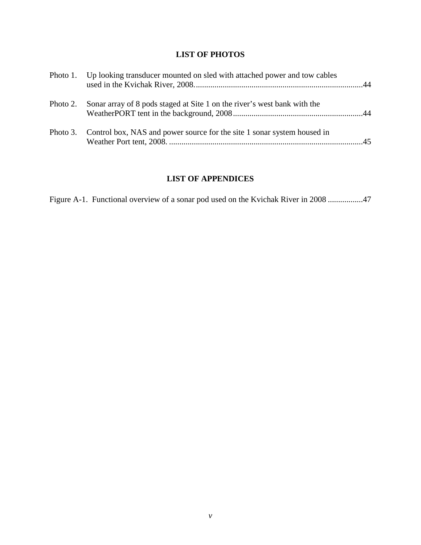#### **LIST OF PHOTOS**

<span id="page-8-0"></span>

|          | Photo 1. Up looking transducer mounted on sled with attached power and tow cables |  |
|----------|-----------------------------------------------------------------------------------|--|
| Photo 2. | Sonar array of 8 pods staged at Site 1 on the river's west bank with the          |  |
|          | Photo 3. Control box, NAS and power source for the site 1 sonar system housed in  |  |

### **LIST OF APPENDICES**

<span id="page-8-1"></span>Figure A-1. Functional overview of a sonar pod used on the Kvichak River in 2008 .................47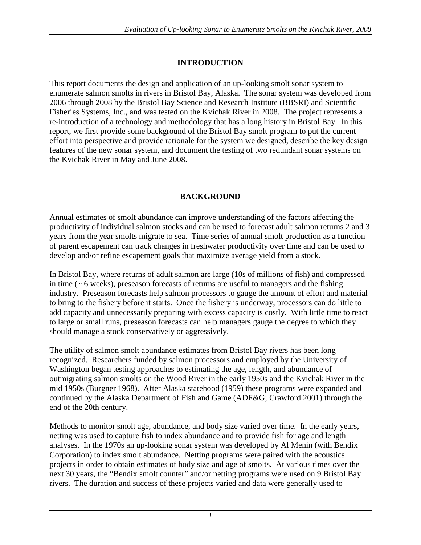### **INTRODUCTION**

<span id="page-9-0"></span>This report documents the design and application of an up-looking smolt sonar system to enumerate salmon smolts in rivers in Bristol Bay, Alaska. The sonar system was developed from 2006 through 2008 by the Bristol Bay Science and Research Institute (BBSRI) and Scientific Fisheries Systems, Inc., and was tested on the Kvichak River in 2008. The project represents a re-introduction of a technology and methodology that has a long history in Bristol Bay. In this report, we first provide some background of the Bristol Bay smolt program to put the current effort into perspective and provide rationale for the system we designed, describe the key design features of the new sonar system, and document the testing of two redundant sonar systems on the Kvichak River in May and June 2008.

### **BACKGROUND**

<span id="page-9-1"></span>Annual estimates of smolt abundance can improve understanding of the factors affecting the productivity of individual salmon stocks and can be used to forecast adult salmon returns 2 and 3 years from the year smolts migrate to sea. Time series of annual smolt production as a function of parent escapement can track changes in freshwater productivity over time and can be used to develop and/or refine escapement goals that maximize average yield from a stock.

In Bristol Bay, where returns of adult salmon are large (10s of millions of fish) and compressed in time  $($   $\sim$   $6$  weeks), preseason forecasts of returns are useful to managers and the fishing industry. Preseason forecasts help salmon processors to gauge the amount of effort and material to bring to the fishery before it starts. Once the fishery is underway, processors can do little to add capacity and unnecessarily preparing with excess capacity is costly. With little time to react to large or small runs, preseason forecasts can help managers gauge the degree to which they should manage a stock conservatively or aggressively.

The utility of salmon smolt abundance estimates from Bristol Bay rivers has been long recognized. Researchers funded by salmon processors and employed by the University of Washington began testing approaches to estimating the age, length, and abundance of outmigrating salmon smolts on the Wood River in the early 1950s and the Kvichak River in the mid 1950s (Burgner 1968). After Alaska statehood (1959) these programs were expanded and continued by the Alaska Department of Fish and Game (ADF&G; Crawford 2001) through the end of the 20th century.

Methods to monitor smolt age, abundance, and body size varied over time. In the early years, netting was used to capture fish to index abundance and to provide fish for age and length analyses. In the 1970s an up-looking sonar system was developed by Al Menin (with Bendix Corporation) to index smolt abundance. Netting programs were paired with the acoustics projects in order to obtain estimates of body size and age of smolts. At various times over the next 30 years, the "Bendix smolt counter" and/or netting programs were used on 9 Bristol Bay rivers. The duration and success of these projects varied and data were generally used to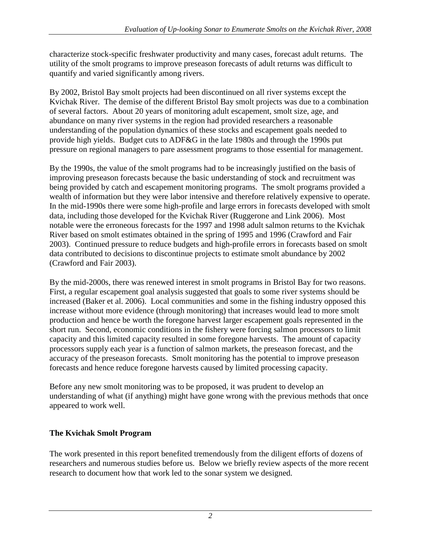characterize stock-specific freshwater productivity and many cases, forecast adult returns. The utility of the smolt programs to improve preseason forecasts of adult returns was difficult to quantify and varied significantly among rivers.

By 2002, Bristol Bay smolt projects had been discontinued on all river systems except the Kvichak River. The demise of the different Bristol Bay smolt projects was due to a combination of several factors. About 20 years of monitoring adult escapement, smolt size, age, and abundance on many river systems in the region had provided researchers a reasonable understanding of the population dynamics of these stocks and escapement goals needed to provide high yields. Budget cuts to ADF&G in the late 1980s and through the 1990s put pressure on regional managers to pare assessment programs to those essential for management.

By the 1990s, the value of the smolt programs had to be increasingly justified on the basis of improving preseason forecasts because the basic understanding of stock and recruitment was being provided by catch and escapement monitoring programs. The smolt programs provided a wealth of information but they were labor intensive and therefore relatively expensive to operate. In the mid-1990s there were some high-profile and large errors in forecasts developed with smolt data, including those developed for the Kvichak River (Ruggerone and Link 2006). Most notable were the erroneous forecasts for the 1997 and 1998 adult salmon returns to the Kvichak River based on smolt estimates obtained in the spring of 1995 and 1996 (Crawford and Fair 2003). Continued pressure to reduce budgets and high-profile errors in forecasts based on smolt data contributed to decisions to discontinue projects to estimate smolt abundance by 2002 (Crawford and Fair 2003).

By the mid-2000s, there was renewed interest in smolt programs in Bristol Bay for two reasons. First, a regular escapement goal analysis suggested that goals to some river systems should be increased (Baker et al. 2006). Local communities and some in the fishing industry opposed this increase without more evidence (through monitoring) that increases would lead to more smolt production and hence be worth the foregone harvest larger escapement goals represented in the short run. Second, economic conditions in the fishery were forcing salmon processors to limit capacity and this limited capacity resulted in some foregone harvests. The amount of capacity processors supply each year is a function of salmon markets, the preseason forecast, and the accuracy of the preseason forecasts. Smolt monitoring has the potential to improve preseason forecasts and hence reduce foregone harvests caused by limited processing capacity.

Before any new smolt monitoring was to be proposed, it was prudent to develop an understanding of what (if anything) might have gone wrong with the previous methods that once appeared to work well.

### <span id="page-10-0"></span>**The Kvichak Smolt Program**

The work presented in this report benefited tremendously from the diligent efforts of dozens of researchers and numerous studies before us. Below we briefly review aspects of the more recent research to document how that work led to the sonar system we designed.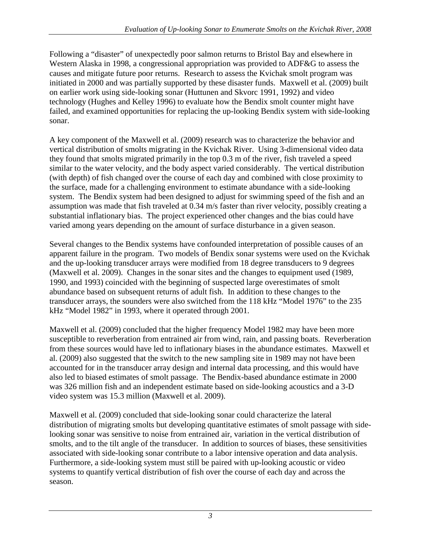Following a "disaster" of unexpectedly poor salmon returns to Bristol Bay and elsewhere in Western Alaska in 1998, a congressional appropriation was provided to ADF&G to assess the causes and mitigate future poor returns. Research to assess the Kvichak smolt program was initiated in 2000 and was partially supported by these disaster funds. Maxwell et al. (2009) built on earlier work using side-looking sonar (Huttunen and Skvorc 1991, 1992) and video technology (Hughes and Kelley 1996) to evaluate how the Bendix smolt counter might have failed, and examined opportunities for replacing the up-looking Bendix system with side-looking sonar.

A key component of the Maxwell et al. (2009) research was to characterize the behavior and vertical distribution of smolts migrating in the Kvichak River. Using 3-dimensional video data they found that smolts migrated primarily in the top 0.3 m of the river, fish traveled a speed similar to the water velocity, and the body aspect varied considerably. The vertical distribution (with depth) of fish changed over the course of each day and combined with close proximity to the surface, made for a challenging environment to estimate abundance with a side-looking system. The Bendix system had been designed to adjust for swimming speed of the fish and an assumption was made that fish traveled at 0.34 m/s faster than river velocity, possibly creating a substantial inflationary bias. The project experienced other changes and the bias could have varied among years depending on the amount of surface disturbance in a given season.

Several changes to the Bendix systems have confounded interpretation of possible causes of an apparent failure in the program. Two models of Bendix sonar systems were used on the Kvichak and the up-looking transducer arrays were modified from 18 degree transducers to 9 degrees (Maxwell et al. 2009). Changes in the sonar sites and the changes to equipment used (1989, 1990, and 1993) coincided with the beginning of suspected large overestimates of smolt abundance based on subsequent returns of adult fish. In addition to these changes to the transducer arrays, the sounders were also switched from the 118 kHz "Model 1976" to the 235 kHz "Model 1982" in 1993, where it operated through 2001.

Maxwell et al. (2009) concluded that the higher frequency Model 1982 may have been more susceptible to reverberation from entrained air from wind, rain, and passing boats. Reverberation from these sources would have led to inflationary biases in the abundance estimates. Maxwell et al. (2009) also suggested that the switch to the new sampling site in 1989 may not have been accounted for in the transducer array design and internal data processing, and this would have also led to biased estimates of smolt passage. The Bendix-based abundance estimate in 2000 was 326 million fish and an independent estimate based on side-looking acoustics and a 3-D video system was 15.3 million (Maxwell et al. 2009).

Maxwell et al. (2009) concluded that side-looking sonar could characterize the lateral distribution of migrating smolts but developing quantitative estimates of smolt passage with sidelooking sonar was sensitive to noise from entrained air, variation in the vertical distribution of smolts, and to the tilt angle of the transducer. In addition to sources of biases, these sensitivities associated with side-looking sonar contribute to a labor intensive operation and data analysis. Furthermore, a side-looking system must still be paired with up-looking acoustic or video systems to quantify vertical distribution of fish over the course of each day and across the season.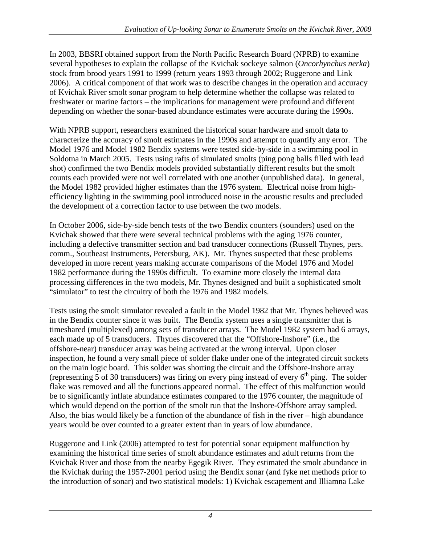In 2003, BBSRI obtained support from the North Pacific Research Board (NPRB) to examine several hypotheses to explain the collapse of the Kvichak sockeye salmon (*Oncorhynchus nerka*) stock from brood years 1991 to 1999 (return years 1993 through 2002; Ruggerone and Link 2006). A critical component of that work was to describe changes in the operation and accuracy of Kvichak River smolt sonar program to help determine whether the collapse was related to freshwater or marine factors – the implications for management were profound and different depending on whether the sonar-based abundance estimates were accurate during the 1990s.

With NPRB support, researchers examined the historical sonar hardware and smolt data to characterize the accuracy of smolt estimates in the 1990s and attempt to quantify any error. The Model 1976 and Model 1982 Bendix systems were tested side-by-side in a swimming pool in Soldotna in March 2005. Tests using rafts of simulated smolts (ping pong balls filled with lead shot) confirmed the two Bendix models provided substantially different results but the smolt counts each provided were not well correlated with one another (unpublished data). In general, the Model 1982 provided higher estimates than the 1976 system. Electrical noise from highefficiency lighting in the swimming pool introduced noise in the acoustic results and precluded the development of a correction factor to use between the two models.

In October 2006, side-by-side bench tests of the two Bendix counters (sounders) used on the Kvichak showed that there were several technical problems with the aging 1976 counter, including a defective transmitter section and bad transducer connections (Russell Thynes, pers. comm., Southeast Instruments, Petersburg, AK). Mr. Thynes suspected that these problems developed in more recent years making accurate comparisons of the Model 1976 and Model 1982 performance during the 1990s difficult. To examine more closely the internal data processing differences in the two models, Mr. Thynes designed and built a sophisticated smolt "simulator" to test the circuitry of both the 1976 and 1982 models.

Tests using the smolt simulator revealed a fault in the Model 1982 that Mr. Thynes believed was in the Bendix counter since it was built. The Bendix system uses a single transmitter that is timeshared (multiplexed) among sets of transducer arrays. The Model 1982 system had 6 arrays, each made up of 5 transducers. Thynes discovered that the "Offshore-Inshore" (i.e., the offshore-near) transducer array was being activated at the wrong interval. Upon closer inspection, he found a very small piece of solder flake under one of the integrated circuit sockets on the main logic board. This solder was shorting the circuit and the Offshore-Inshore array (representing 5 of 30 transducers) was firing on every ping instead of every  $6<sup>th</sup>$  ping. The solder flake was removed and all the functions appeared normal. The effect of this malfunction would be to significantly inflate abundance estimates compared to the 1976 counter, the magnitude of which would depend on the portion of the smolt run that the Inshore-Offshore array sampled. Also, the bias would likely be a function of the abundance of fish in the river – high abundance years would be over counted to a greater extent than in years of low abundance.

Ruggerone and Link (2006) attempted to test for potential sonar equipment malfunction by examining the historical time series of smolt abundance estimates and adult returns from the Kvichak River and those from the nearby Egegik River. They estimated the smolt abundance in the Kvichak during the 1957-2001 period using the Bendix sonar (and fyke net methods prior to the introduction of sonar) and two statistical models: 1) Kvichak escapement and Illiamna Lake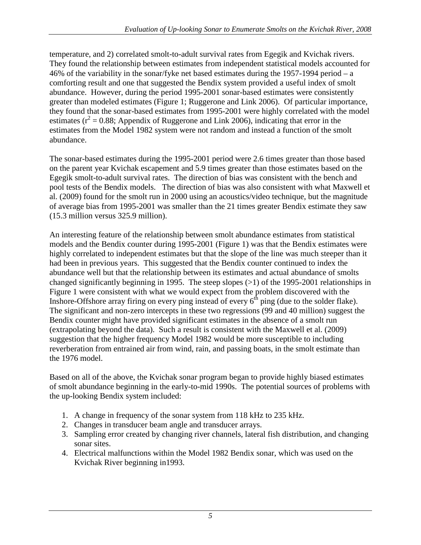temperature, and 2) correlated smolt-to-adult survival rates from Egegik and Kvichak rivers. They found the relationship between estimates from independent statistical models accounted for 46% of the variability in the sonar/fyke net based estimates during the 1957-1994 period – a comforting result and one that suggested the Bendix system provided a useful index of smolt abundance. However, during the period 1995-2001 sonar-based estimates were consistently greater than modeled estimates (Figure 1; Ruggerone and Link 2006). Of particular importance, they found that the sonar-based estimates from 1995-2001 were highly correlated with the model estimates ( $r^2$  = 0.88; Appendix of Ruggerone and Link 2006), indicating that error in the estimates from the Model 1982 system were not random and instead a function of the smolt abundance.

The sonar-based estimates during the 1995-2001 period were 2.6 times greater than those based on the parent year Kvichak escapement and 5.9 times greater than those estimates based on the Egegik smolt-to-adult survival rates. The direction of bias was consistent with the bench and pool tests of the Bendix models. The direction of bias was also consistent with what Maxwell et al. (2009) found for the smolt run in 2000 using an acoustics/video technique, but the magnitude of average bias from 1995-2001 was smaller than the 21 times greater Bendix estimate they saw (15.3 million versus 325.9 million).

An interesting feature of the relationship between smolt abundance estimates from statistical models and the Bendix counter during 1995-2001 (Figure 1) was that the Bendix estimates were highly correlated to independent estimates but that the slope of the line was much steeper than it had been in previous years. This suggested that the Bendix counter continued to index the abundance well but that the relationship between its estimates and actual abundance of smolts changed significantly beginning in 1995. The steep slopes (>1) of the 1995-2001 relationships in Figure 1 were consistent with what we would expect from the problem discovered with the Inshore-Offshore array firing on every ping instead of every  $6<sup>th</sup>$  ping (due to the solder flake). The significant and non-zero intercepts in these two regressions (99 and 40 million) suggest the Bendix counter might have provided significant estimates in the absence of a smolt run (extrapolating beyond the data). Such a result is consistent with the Maxwell et al. (2009) suggestion that the higher frequency Model 1982 would be more susceptible to including reverberation from entrained air from wind, rain, and passing boats, in the smolt estimate than the 1976 model.

Based on all of the above, the Kvichak sonar program began to provide highly biased estimates of smolt abundance beginning in the early-to-mid 1990s. The potential sources of problems with the up-looking Bendix system included:

- 1. A change in frequency of the sonar system from 118 kHz to 235 kHz.
- 2. Changes in transducer beam angle and transducer arrays.
- 3. Sampling error created by changing river channels, lateral fish distribution, and changing sonar sites.
- 4. Electrical malfunctions within the Model 1982 Bendix sonar, which was used on the Kvichak River beginning in1993.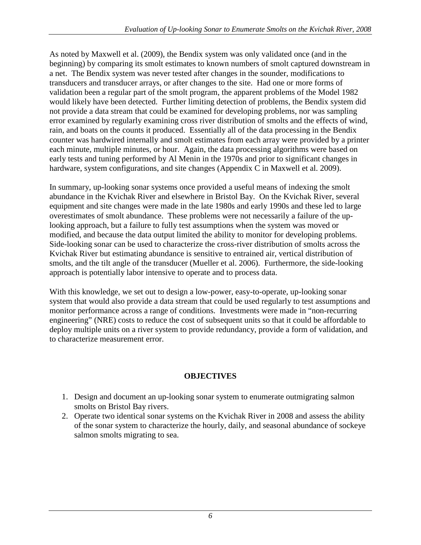As noted by Maxwell et al. (2009), the Bendix system was only validated once (and in the beginning) by comparing its smolt estimates to known numbers of smolt captured downstream in a net. The Bendix system was never tested after changes in the sounder, modifications to transducers and transducer arrays, or after changes to the site. Had one or more forms of validation been a regular part of the smolt program, the apparent problems of the Model 1982 would likely have been detected. Further limiting detection of problems, the Bendix system did not provide a data stream that could be examined for developing problems, nor was sampling error examined by regularly examining cross river distribution of smolts and the effects of wind, rain, and boats on the counts it produced. Essentially all of the data processing in the Bendix counter was hardwired internally and smolt estimates from each array were provided by a printer each minute, multiple minutes, or hour. Again, the data processing algorithms were based on early tests and tuning performed by Al Menin in the 1970s and prior to significant changes in hardware, system configurations, and site changes (Appendix C in Maxwell et al. 2009).

In summary, up-looking sonar systems once provided a useful means of indexing the smolt abundance in the Kvichak River and elsewhere in Bristol Bay. On the Kvichak River, several equipment and site changes were made in the late 1980s and early 1990s and these led to large overestimates of smolt abundance. These problems were not necessarily a failure of the uplooking approach, but a failure to fully test assumptions when the system was moved or modified, and because the data output limited the ability to monitor for developing problems. Side-looking sonar can be used to characterize the cross-river distribution of smolts across the Kvichak River but estimating abundance is sensitive to entrained air, vertical distribution of smolts, and the tilt angle of the transducer (Mueller et al. 2006). Furthermore, the side-looking approach is potentially labor intensive to operate and to process data.

With this knowledge, we set out to design a low-power, easy-to-operate, up-looking sonar system that would also provide a data stream that could be used regularly to test assumptions and monitor performance across a range of conditions. Investments were made in "non-recurring engineering" (NRE) costs to reduce the cost of subsequent units so that it could be affordable to deploy multiple units on a river system to provide redundancy, provide a form of validation, and to characterize measurement error.

### **OBJECTIVES**

- <span id="page-14-0"></span>1. Design and document an up-looking sonar system to enumerate outmigrating salmon smolts on Bristol Bay rivers.
- 2. Operate two identical sonar systems on the Kvichak River in 2008 and assess the ability of the sonar system to characterize the hourly, daily, and seasonal abundance of sockeye salmon smolts migrating to sea.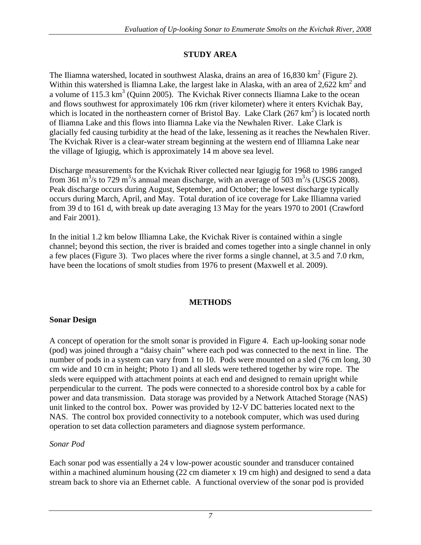### **STUDY AREA**

<span id="page-15-0"></span>The Iliamna watershed, located in southwest Alaska, drains an area of  $16,830 \text{ km}^2$  (Figure 2). Within this watershed is Iliamna Lake, the largest lake in Alaska, with an area of  $2,622$  km<sup>2</sup> and a volume of 115.3  $km^3$  (Quinn 2005). The Kvichak River connects Iliamna Lake to the ocean and flows southwest for approximately 106 rkm (river kilometer) where it enters Kvichak Bay, which is located in the northeastern corner of Bristol Bay. Lake Clark  $(267 \text{ km}^2)$  is located north of Iliamna Lake and this flows into Iliamna Lake via the Newhalen River. Lake Clark is glacially fed causing turbidity at the head of the lake, lessening as it reaches the Newhalen River. The Kvichak River is a clear-water stream beginning at the western end of Illiamna Lake near the village of Igiugig, which is approximately 14 m above sea level.

Discharge measurements for the Kvichak River collected near Igiugig for 1968 to 1986 ranged from 361 m<sup>3</sup>/s to 729 m<sup>3</sup>/s annual mean discharge, with an average of 503 m<sup>3</sup>/s (USGS 2008). Peak discharge occurs during August, September, and October; the lowest discharge typically occurs during March, April, and May. Total duration of ice coverage for Lake Illiamna varied from 39 d to 161 d, with break up date averaging 13 May for the years 1970 to 2001 (Crawford and Fair 2001).

In the initial 1.2 km below Illiamna Lake, the Kvichak River is contained within a single channel; beyond this section, the river is braided and comes together into a single channel in only a few places (Figure 3). Two places where the river forms a single channel, at 3.5 and 7.0 rkm, have been the locations of smolt studies from 1976 to present (Maxwell et al. 2009).

### **METHODS**

### <span id="page-15-2"></span><span id="page-15-1"></span>**Sonar Design**

A concept of operation for the smolt sonar is provided in Figure 4. Each up-looking sonar node (pod) was joined through a "daisy chain" where each pod was connected to the next in line. The number of pods in a system can vary from 1 to 10. Pods were mounted on a sled (76 cm long, 30) cm wide and 10 cm in height; Photo 1) and all sleds were tethered together by wire rope. The sleds were equipped with attachment points at each end and designed to remain upright while perpendicular to the current. The pods were connected to a shoreside control box by a cable for power and data transmission. Data storage was provided by a Network Attached Storage (NAS) unit linked to the control box. Power was provided by 12-V DC batteries located next to the NAS. The control box provided connectivity to a notebook computer, which was used during operation to set data collection parameters and diagnose system performance.

### <span id="page-15-3"></span>*Sonar Pod*

Each sonar pod was essentially a 24 v low-power acoustic sounder and transducer contained within a machined aluminum housing (22 cm diameter x 19 cm high) and designed to send a data stream back to shore via an Ethernet cable. A functional overview of the sonar pod is provided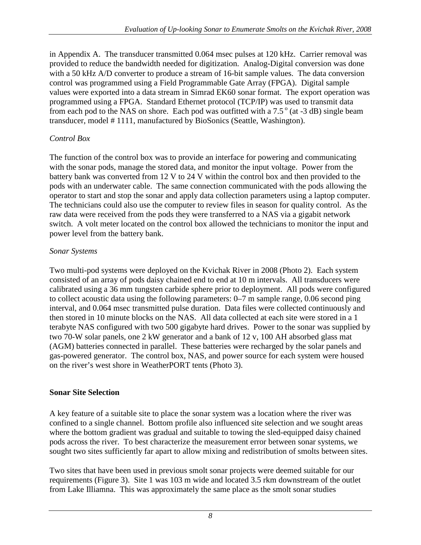in Appendix A. The transducer transmitted 0.064 msec pulses at 120 kHz. Carrier removal was provided to reduce the bandwidth needed for digitization. Analog-Digital conversion was done with a 50 kHz A/D converter to produce a stream of 16-bit sample values. The data conversion control was programmed using a Field Programmable Gate Array (FPGA). Digital sample values were exported into a data stream in Simrad EK60 sonar format. The export operation was programmed using a FPGA. Standard Ethernet protocol (TCP/IP) was used to transmit data from each pod to the NAS on shore. Each pod was outfitted with a  $7.5^\circ$  (at -3 dB) single beam transducer, model # 1111, manufactured by BioSonics (Seattle, Washington).

### <span id="page-16-0"></span>*Control Box*

The function of the control box was to provide an interface for powering and communicating with the sonar pods, manage the stored data, and monitor the input voltage. Power from the battery bank was converted from 12 V to 24 V within the control box and then provided to the pods with an underwater cable. The same connection communicated with the pods allowing the operator to start and stop the sonar and apply data collection parameters using a laptop computer. The technicians could also use the computer to review files in season for quality control. As the raw data were received from the pods they were transferred to a NAS via a gigabit network switch. A volt meter located on the control box allowed the technicians to monitor the input and power level from the battery bank.

### <span id="page-16-1"></span>*Sonar Systems*

Two multi-pod systems were deployed on the Kvichak River in 2008 (Photo 2). Each system consisted of an array of pods daisy chained end to end at 10 m intervals. All transducers were calibrated using a 36 mm tungsten carbide sphere prior to deployment. All pods were configured to collect acoustic data using the following parameters: 0–7 m sample range, 0.06 second ping interval, and 0.064 msec transmitted pulse duration. Data files were collected continuously and then stored in 10 minute blocks on the NAS. All data collected at each site were stored in a 1 terabyte NAS configured with two 500 gigabyte hard drives. Power to the sonar was supplied by two 70-W solar panels, one 2 kW generator and a bank of 12 v, 100 AH absorbed glass mat (AGM) batteries connected in parallel. These batteries were recharged by the solar panels and gas-powered generator. The control box, NAS, and power source for each system were housed on the river's west shore in WeatherPORT tents (Photo 3).

### <span id="page-16-2"></span>**Sonar Site Selection**

A key feature of a suitable site to place the sonar system was a location where the river was confined to a single channel. Bottom profile also influenced site selection and we sought areas where the bottom gradient was gradual and suitable to towing the sled-equipped daisy chained pods across the river. To best characterize the measurement error between sonar systems, we sought two sites sufficiently far apart to allow mixing and redistribution of smolts between sites.

Two sites that have been used in previous smolt sonar projects were deemed suitable for our requirements (Figure 3). Site 1 was 103 m wide and located 3.5 rkm downstream of the outlet from Lake Illiamna. This was approximately the same place as the smolt sonar studies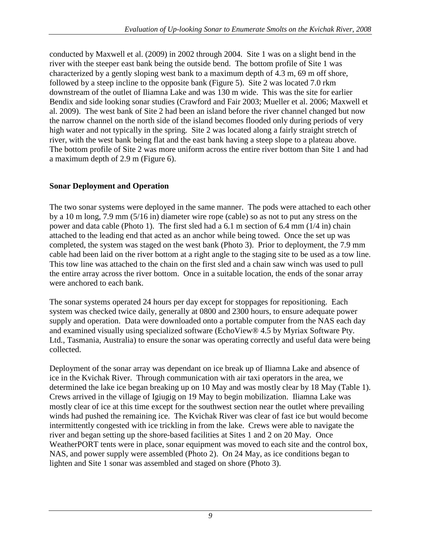conducted by Maxwell et al. (2009) in 2002 through 2004. Site 1 was on a slight bend in the river with the steeper east bank being the outside bend. The bottom profile of Site 1 was characterized by a gently sloping west bank to a maximum depth of 4.3 m, 69 m off shore, followed by a steep incline to the opposite bank (Figure 5). Site 2 was located 7.0 rkm downstream of the outlet of Iliamna Lake and was 130 m wide. This was the site for earlier Bendix and side looking sonar studies (Crawford and Fair 2003; Mueller et al. 2006; Maxwell et al. 2009). The west bank of Site 2 had been an island before the river channel changed but now the narrow channel on the north side of the island becomes flooded only during periods of very high water and not typically in the spring. Site 2 was located along a fairly straight stretch of river, with the west bank being flat and the east bank having a steep slope to a plateau above. The bottom profile of Site 2 was more uniform across the entire river bottom than Site 1 and had a maximum depth of 2.9 m (Figure 6).

### <span id="page-17-0"></span>**Sonar Deployment and Operation**

The two sonar systems were deployed in the same manner. The pods were attached to each other by a 10 m long, 7.9 mm (5/16 in) diameter wire rope (cable) so as not to put any stress on the power and data cable (Photo 1). The first sled had a 6.1 m section of 6.4 mm (1/4 in) chain attached to the leading end that acted as an anchor while being towed. Once the set up was completed, the system was staged on the west bank (Photo 3). Prior to deployment, the 7.9 mm cable had been laid on the river bottom at a right angle to the staging site to be used as a tow line. This tow line was attached to the chain on the first sled and a chain saw winch was used to pull the entire array across the river bottom. Once in a suitable location, the ends of the sonar array were anchored to each bank.

The sonar systems operated 24 hours per day except for stoppages for repositioning. Each system was checked twice daily, generally at 0800 and 2300 hours, to ensure adequate power supply and operation. Data were downloaded onto a portable computer from the NAS each day and examined visually using specialized software (EchoView® 4.5 by Myriax Software Pty. Ltd., Tasmania, Australia) to ensure the sonar was operating correctly and useful data were being collected.

Deployment of the sonar array was dependant on ice break up of Iliamna Lake and absence of ice in the Kvichak River. Through communication with air taxi operators in the area, we determined the lake ice began breaking up on 10 May and was mostly clear by 18 May (Table 1). Crews arrived in the village of Igiugig on 19 May to begin mobilization. Iliamna Lake was mostly clear of ice at this time except for the southwest section near the outlet where prevailing winds had pushed the remaining ice. The Kvichak River was clear of fast ice but would become intermittently congested with ice trickling in from the lake. Crews were able to navigate the river and began setting up the shore-based facilities at Sites 1 and 2 on 20 May. Once WeatherPORT tents were in place, sonar equipment was moved to each site and the control box, NAS, and power supply were assembled (Photo 2). On 24 May, as ice conditions began to lighten and Site 1 sonar was assembled and staged on shore (Photo 3).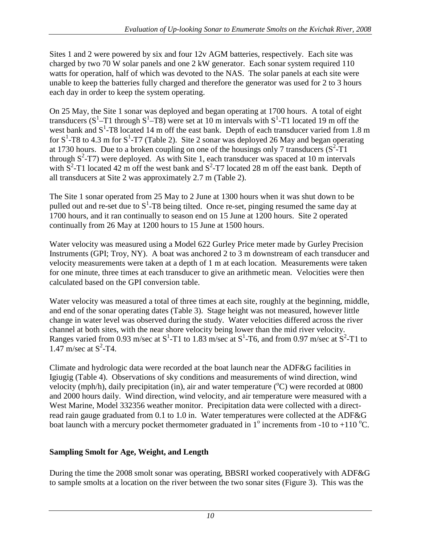Sites 1 and 2 were powered by six and four 12v AGM batteries, respectively. Each site was charged by two 70 W solar panels and one 2 kW generator. Each sonar system required 110 watts for operation, half of which was devoted to the NAS. The solar panels at each site were unable to keep the batteries fully charged and therefore the generator was used for 2 to 3 hours each day in order to keep the system operating.

On 25 May, the Site 1 sonar was deployed and began operating at 1700 hours. A total of eight transducers ( $S^1$ -T1 through  $S^1$ -T8) were set at 10 m intervals with  $S^1$ -T1 located 19 m off the west bank and  $S^1$ -T8 located 14 m off the east bank. Depth of each transducer varied from 1.8 m for  $S^1$ -T8 to 4.3 m for  $S^1$ -T7 (Table 2). Site 2 sonar was deployed 26 May and began operating at 1730 hours. Due to a broken coupling on one of the housings only 7 transducers  $(S^2-T1)$ through  $S^2$ -T7) were deployed. As with Site 1, each transducer was spaced at 10 m intervals with  $\overline{S}^2$ -T1 located 42 m off the west bank and  $S^2$ -T7 located 28 m off the east bank. Depth of all transducers at Site 2 was approximately 2.7 m (Table 2).

The Site 1 sonar operated from 25 May to 2 June at 1300 hours when it was shut down to be pulled out and re-set due to  $S^1$ -T8 being tilted. Once re-set, pinging resumed the same day at 1700 hours, and it ran continually to season end on 15 June at 1200 hours. Site 2 operated continually from 26 May at 1200 hours to 15 June at 1500 hours.

Water velocity was measured using a Model 622 Gurley Price meter made by Gurley Precision Instruments (GPI; Troy, NY). A boat was anchored 2 to 3 m downstream of each transducer and velocity measurements were taken at a depth of 1 m at each location. Measurements were taken for one minute, three times at each transducer to give an arithmetic mean. Velocities were then calculated based on the GPI conversion table.

Water velocity was measured a total of three times at each site, roughly at the beginning, middle, and end of the sonar operating dates (Table 3). Stage height was not measured, however little change in water level was observed during the study. Water velocities differed across the river channel at both sites, with the near shore velocity being lower than the mid river velocity. Ranges varied from 0.93 m/sec at  $S^1$ -T1 to 1.83 m/sec at  $S^1$ -T6, and from 0.97 m/sec at  $S^2$ -T1 to 1.47 m/sec at  $S^2$ -T4.

Climate and hydrologic data were recorded at the boat launch near the ADF&G facilities in Igiugig (Table 4). Observations of sky conditions and measurements of wind direction, wind velocity (mph/h), daily precipitation (in), air and water temperature ( $^{\circ}$ C) were recorded at 0800 and 2000 hours daily. Wind direction, wind velocity, and air temperature were measured with a West Marine, Model 332356 weather monitor. Precipitation data were collected with a directread rain gauge graduated from 0.1 to 1.0 in. Water temperatures were collected at the ADF&G boat launch with a mercury pocket thermometer graduated in  $1^{\circ}$  increments from -10 to +110  $^{\circ}$ C.

### <span id="page-18-0"></span>**Sampling Smolt for Age, Weight, and Length**

During the time the 2008 smolt sonar was operating, BBSRI worked cooperatively with ADF&G to sample smolts at a location on the river between the two sonar sites (Figure 3). This was the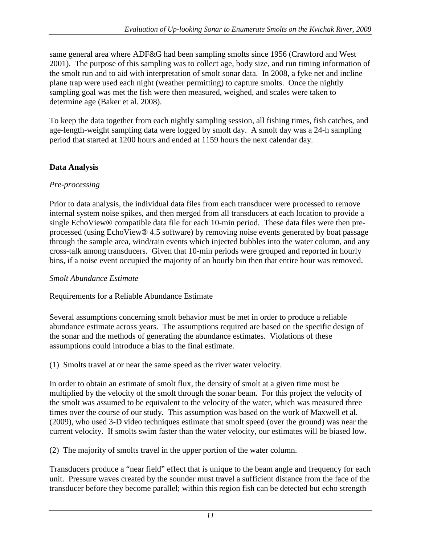same general area where ADF&G had been sampling smolts since 1956 (Crawford and West 2001). The purpose of this sampling was to collect age, body size, and run timing information of the smolt run and to aid with interpretation of smolt sonar data. In 2008, a fyke net and incline plane trap were used each night (weather permitting) to capture smolts. Once the nightly sampling goal was met the fish were then measured, weighed, and scales were taken to determine age (Baker et al. 2008).

To keep the data together from each nightly sampling session, all fishing times, fish catches, and age-length-weight sampling data were logged by smolt day. A smolt day was a 24-h sampling period that started at 1200 hours and ended at 1159 hours the next calendar day.

### <span id="page-19-0"></span>**Data Analysis**

### <span id="page-19-1"></span>*Pre-processing*

Prior to data analysis, the individual data files from each transducer were processed to remove internal system noise spikes, and then merged from all transducers at each location to provide a single EchoView® compatible data file for each 10-min period. These data files were then preprocessed (using EchoView® 4.5 software) by removing noise events generated by boat passage through the sample area, wind/rain events which injected bubbles into the water column, and any cross-talk among transducers. Given that 10-min periods were grouped and reported in hourly bins, if a noise event occupied the majority of an hourly bin then that entire hour was removed.

### <span id="page-19-2"></span>*Smolt Abundance Estimate*

### <span id="page-19-3"></span>Requirements for a Reliable Abundance Estimate

Several assumptions concerning smolt behavior must be met in order to produce a reliable abundance estimate across years. The assumptions required are based on the specific design of the sonar and the methods of generating the abundance estimates. Violations of these assumptions could introduce a bias to the final estimate.

(1) Smolts travel at or near the same speed as the river water velocity.

In order to obtain an estimate of smolt flux, the density of smolt at a given time must be multiplied by the velocity of the smolt through the sonar beam. For this project the velocity of the smolt was assumed to be equivalent to the velocity of the water, which was measured three times over the course of our study. This assumption was based on the work of Maxwell et al. (2009), who used 3-D video techniques estimate that smolt speed (over the ground) was near the current velocity. If smolts swim faster than the water velocity, our estimates will be biased low.

(2) The majority of smolts travel in the upper portion of the water column.

Transducers produce a "near field" effect that is unique to the beam angle and frequency for each unit. Pressure waves created by the sounder must travel a sufficient distance from the face of the transducer before they become parallel; within this region fish can be detected but echo strength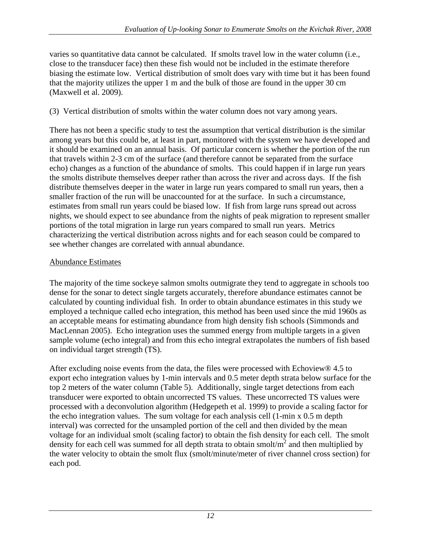varies so quantitative data cannot be calculated. If smolts travel low in the water column (i.e., close to the transducer face) then these fish would not be included in the estimate therefore biasing the estimate low. Vertical distribution of smolt does vary with time but it has been found that the majority utilizes the upper 1 m and the bulk of those are found in the upper 30 cm (Maxwell et al. 2009).

#### (3) Vertical distribution of smolts within the water column does not vary among years.

There has not been a specific study to test the assumption that vertical distribution is the similar among years but this could be, at least in part, monitored with the system we have developed and it should be examined on an annual basis. Of particular concern is whether the portion of the run that travels within 2-3 cm of the surface (and therefore cannot be separated from the surface echo) changes as a function of the abundance of smolts. This could happen if in large run years the smolts distribute themselves deeper rather than across the river and across days. If the fish distribute themselves deeper in the water in large run years compared to small run years, then a smaller fraction of the run will be unaccounted for at the surface. In such a circumstance, estimates from small run years could be biased low. If fish from large runs spread out across nights, we should expect to see abundance from the nights of peak migration to represent smaller portions of the total migration in large run years compared to small run years. Metrics characterizing the vertical distribution across nights and for each season could be compared to see whether changes are correlated with annual abundance.

#### <span id="page-20-0"></span>Abundance Estimates

The majority of the time sockeye salmon smolts outmigrate they tend to aggregate in schools too dense for the sonar to detect single targets accurately, therefore abundance estimates cannot be calculated by counting individual fish. In order to obtain abundance estimates in this study we employed a technique called echo integration, this method has been used since the mid 1960s as an acceptable means for estimating abundance from high density fish schools (Simmonds and MacLennan 2005). Echo integration uses the summed energy from multiple targets in a given sample volume (echo integral) and from this echo integral extrapolates the numbers of fish based on individual target strength (TS).

After excluding noise events from the data, the files were processed with Echoview® 4.5 to export echo integration values by 1-min intervals and 0.5 meter depth strata below surface for the top 2 meters of the water column (Table 5). Additionally, single target detections from each transducer were exported to obtain uncorrected TS values. These uncorrected TS values were processed with a deconvolution algorithm (Hedgepeth et al. 1999) to provide a scaling factor for the echo integration values. The sum voltage for each analysis cell (1-min x 0.5 m depth interval) was corrected for the unsampled portion of the cell and then divided by the mean voltage for an individual smolt (scaling factor) to obtain the fish density for each cell. The smolt density for each cell was summed for all depth strata to obtain smolt/ $m^2$  and then multiplied by the water velocity to obtain the smolt flux (smolt/minute/meter of river channel cross section) for each pod.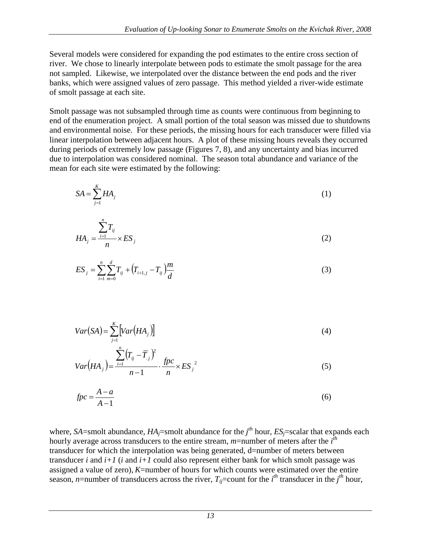Several models were considered for expanding the pod estimates to the entire cross section of river. We chose to linearly interpolate between pods to estimate the smolt passage for the area not sampled. Likewise, we interpolated over the distance between the end pods and the river banks, which were assigned values of zero passage. This method yielded a river-wide estimate of smolt passage at each site.

Smolt passage was not subsampled through time as counts were continuous from beginning to end of the enumeration project. A small portion of the total season was missed due to shutdowns and environmental noise. For these periods, the missing hours for each transducer were filled via linear interpolation between adjacent hours. A plot of these missing hours reveals they occurred during periods of extremely low passage (Figures 7, 8), and any uncertainty and bias incurred due to interpolation was considered nominal. The season total abundance and variance of the mean for each site were estimated by the following:

$$
SA = \sum_{j=1}^{K} HA_j
$$
 (1)

$$
HA_j = \frac{\sum_{i=1}^{n} T_{ij}}{n} \times ES_j
$$
 (2)

$$
ES_j = \sum_{i=1}^{n} \sum_{m=0}^{d} T_{ij} + (T_{i+1,j} - T_{ij}) \frac{m}{d}
$$
 (3)

$$
Var(SA) = \sum_{j=1}^{K} \left[ Var\left( HA_j \right) \right] \tag{4}
$$

$$
Var(HA_{j}) = \frac{\sum_{i=1}^{n} (T_{ij} - \overline{T}_{j})^{2}}{n-1} \cdot \frac{fpc}{n} \times ES_{j}^{2}
$$
 (5)

$$
fpc = \frac{A - a}{A - 1} \tag{6}
$$

where, *SA*=smolt abundance, *HAj*=smolt abundance for the *j th* hour, *ESj*=scalar that expands each hourly average across transducers to the entire stream, *m*=number of meters after the *i th* transducer for which the interpolation was being generated, d=number of meters between transducer *i* and *i+1* (*i* and *i+1* could also represent either bank for which smolt passage was assigned a value of zero), *K*=number of hours for which counts were estimated over the entire season, *n*=number of transducers across the river,  $T_{ij}$ =count for the *i*<sup>th</sup> transducer in the *j*<sup>th</sup> hour,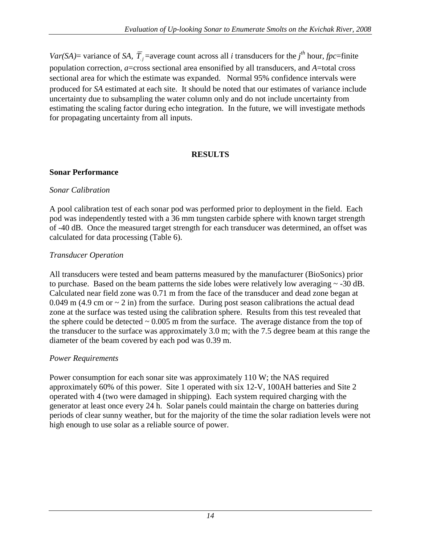*Var(SA)*= variance of *SA,*  $\overline{T}_j$  =average count across all *i* transducers for the *j*<sup>th</sup> hour, *fpc*=finite population correction, *a*=cross sectional area ensonified by all transducers, and *A*=total cross sectional area for which the estimate was expanded. Normal 95% confidence intervals were produced for *SA* estimated at each site. It should be noted that our estimates of variance include uncertainty due to subsampling the water column only and do not include uncertainty from estimating the scaling factor during echo integration. In the future, we will investigate methods for propagating uncertainty from all inputs.

#### **RESULTS**

#### <span id="page-22-1"></span><span id="page-22-0"></span>**Sonar Performance**

#### <span id="page-22-2"></span>*Sonar Calibration*

A pool calibration test of each sonar pod was performed prior to deployment in the field. Each pod was independently tested with a 36 mm tungsten carbide sphere with known target strength of -40 dB. Once the measured target strength for each transducer was determined, an offset was calculated for data processing (Table 6).

#### <span id="page-22-3"></span>*Transducer Operation*

All transducers were tested and beam patterns measured by the manufacturer (BioSonics) prior to purchase. Based on the beam patterns the side lobes were relatively low averaging  $\sim$  -30 dB. Calculated near field zone was 0.71 m from the face of the transducer and dead zone began at 0.049 m (4.9 cm or  $\sim$  2 in) from the surface. During post season calibrations the actual dead zone at the surface was tested using the calibration sphere. Results from this test revealed that the sphere could be detected  $\sim 0.005$  m from the surface. The average distance from the top of the transducer to the surface was approximately 3.0 m; with the 7.5 degree beam at this range the diameter of the beam covered by each pod was 0.39 m.

### <span id="page-22-4"></span>*Power Requirements*

<span id="page-22-5"></span>Power consumption for each sonar site was approximately 110 W; the NAS required approximately 60% of this power. Site 1 operated with six 12-V, 100AH batteries and Site 2 operated with 4 (two were damaged in shipping). Each system required charging with the generator at least once every 24 h. Solar panels could maintain the charge on batteries during periods of clear sunny weather, but for the majority of the time the solar radiation levels were not high enough to use solar as a reliable source of power.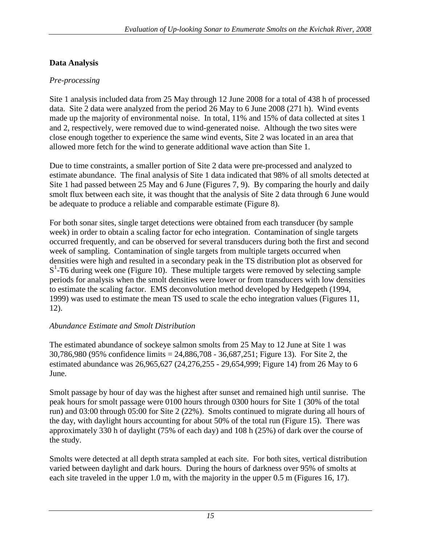### **Data Analysis**

#### <span id="page-23-0"></span>*Pre-processing*

Site 1 analysis included data from 25 May through 12 June 2008 for a total of 438 h of processed data. Site 2 data were analyzed from the period 26 May to 6 June 2008 (271 h). Wind events made up the majority of environmental noise. In total, 11% and 15% of data collected at sites 1 and 2, respectively, were removed due to wind-generated noise. Although the two sites were close enough together to experience the same wind events, Site 2 was located in an area that allowed more fetch for the wind to generate additional wave action than Site 1.

Due to time constraints, a smaller portion of Site 2 data were pre-processed and analyzed to estimate abundance. The final analysis of Site 1 data indicated that 98% of all smolts detected at Site 1 had passed between 25 May and 6 June (Figures 7, 9). By comparing the hourly and daily smolt flux between each site, it was thought that the analysis of Site 2 data through 6 June would be adequate to produce a reliable and comparable estimate (Figure 8).

For both sonar sites, single target detections were obtained from each transducer (by sample week) in order to obtain a scaling factor for echo integration. Contamination of single targets occurred frequently, and can be observed for several transducers during both the first and second week of sampling. Contamination of single targets from multiple targets occurred when densities were high and resulted in a secondary peak in the TS distribution plot as observed for S<sup>1</sup>-T6 during week one (Figure 10). These multiple targets were removed by selecting sample periods for analysis when the smolt densities were lower or from transducers with low densities to estimate the scaling factor. EMS deconvolution method developed by Hedgepeth (1994, 1999) was used to estimate the mean TS used to scale the echo integration values (Figures 11, 12).

### <span id="page-23-1"></span>*Abundance Estimate and Smolt Distribution*

The estimated abundance of sockeye salmon smolts from 25 May to 12 June at Site 1 was 30,786,980 (95% confidence limits = 24,886,708 - 36,687,251; Figure 13). For Site 2, the estimated abundance was 26,965,627 (24,276,255 - 29,654,999; Figure 14) from 26 May to 6 June.

Smolt passage by hour of day was the highest after sunset and remained high until sunrise. The peak hours for smolt passage were 0100 hours through 0300 hours for Site 1 (30% of the total run) and 03:00 through 05:00 for Site 2 (22%). Smolts continued to migrate during all hours of the day, with daylight hours accounting for about 50% of the total run (Figure 15). There was approximately 330 h of daylight (75% of each day) and 108 h (25%) of dark over the course of the study.

Smolts were detected at all depth strata sampled at each site. For both sites, vertical distribution varied between daylight and dark hours. During the hours of darkness over 95% of smolts at each site traveled in the upper 1.0 m, with the majority in the upper 0.5 m (Figures 16, 17).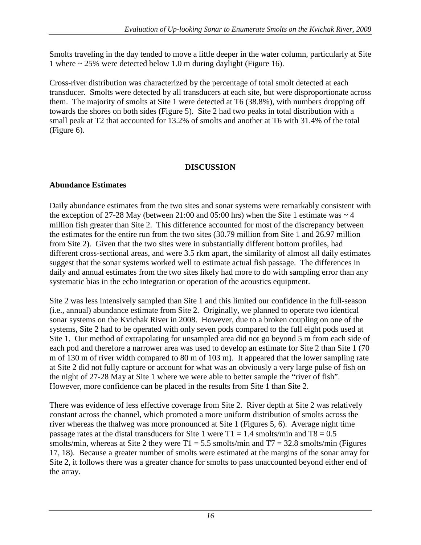Smolts traveling in the day tended to move a little deeper in the water column, particularly at Site 1 where  $\sim$  25% were detected below 1.0 m during daylight (Figure 16).

Cross-river distribution was characterized by the percentage of total smolt detected at each transducer. Smolts were detected by all transducers at each site, but were disproportionate across them. The majority of smolts at Site 1 were detected at T6 (38.8%), with numbers dropping off towards the shores on both sides (Figure 5). Site 2 had two peaks in total distribution with a small peak at T2 that accounted for 13.2% of smolts and another at T6 with 31.4% of the total (Figure 6).

### **DISCUSSION**

### <span id="page-24-1"></span><span id="page-24-0"></span>**Abundance Estimates**

Daily abundance estimates from the two sites and sonar systems were remarkably consistent with the exception of 27-28 May (between 21:00 and 05:00 hrs) when the Site 1 estimate was  $\sim$  4 million fish greater than Site 2. This difference accounted for most of the discrepancy between the estimates for the entire run from the two sites (30.79 million from Site 1 and 26.97 million from Site 2). Given that the two sites were in substantially different bottom profiles, had different cross-sectional areas, and were 3.5 rkm apart, the similarity of almost all daily estimates suggest that the sonar systems worked well to estimate actual fish passage. The differences in daily and annual estimates from the two sites likely had more to do with sampling error than any systematic bias in the echo integration or operation of the acoustics equipment.

Site 2 was less intensively sampled than Site 1 and this limited our confidence in the full-season (i.e., annual) abundance estimate from Site 2. Originally, we planned to operate two identical sonar systems on the Kvichak River in 2008. However, due to a broken coupling on one of the systems, Site 2 had to be operated with only seven pods compared to the full eight pods used at Site 1. Our method of extrapolating for unsampled area did not go beyond 5 m from each side of each pod and therefore a narrower area was used to develop an estimate for Site 2 than Site 1 (70 m of 130 m of river width compared to 80 m of 103 m). It appeared that the lower sampling rate at Site 2 did not fully capture or account for what was an obviously a very large pulse of fish on the night of 27-28 May at Site 1 where we were able to better sample the "river of fish". However, more confidence can be placed in the results from Site 1 than Site 2.

There was evidence of less effective coverage from Site 2. River depth at Site 2 was relatively constant across the channel, which promoted a more uniform distribution of smolts across the river whereas the thalweg was more pronounced at Site 1 (Figures 5, 6). Average night time passage rates at the distal transducers for Site 1 were  $T1 = 1.4$  smolts/min and  $T8 = 0.5$ smolts/min, whereas at Site 2 they were  $T1 = 5.5$  smolts/min and  $T7 = 32.8$  smolts/min (Figures 17, 18). Because a greater number of smolts were estimated at the margins of the sonar array for Site 2, it follows there was a greater chance for smolts to pass unaccounted beyond either end of the array.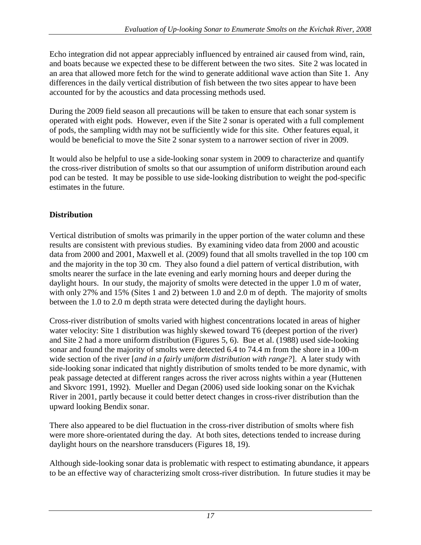Echo integration did not appear appreciably influenced by entrained air caused from wind, rain, and boats because we expected these to be different between the two sites. Site 2 was located in an area that allowed more fetch for the wind to generate additional wave action than Site 1. Any differences in the daily vertical distribution of fish between the two sites appear to have been accounted for by the acoustics and data processing methods used.

During the 2009 field season all precautions will be taken to ensure that each sonar system is operated with eight pods. However, even if the Site 2 sonar is operated with a full complement of pods, the sampling width may not be sufficiently wide for this site. Other features equal, it would be beneficial to move the Site 2 sonar system to a narrower section of river in 2009.

It would also be helpful to use a side-looking sonar system in 2009 to characterize and quantify the cross-river distribution of smolts so that our assumption of uniform distribution around each pod can be tested. It may be possible to use side-looking distribution to weight the pod-specific estimates in the future.

## <span id="page-25-0"></span>**Distribution**

Vertical distribution of smolts was primarily in the upper portion of the water column and these results are consistent with previous studies. By examining video data from 2000 and acoustic data from 2000 and 2001, Maxwell et al. (2009) found that all smolts travelled in the top 100 cm and the majority in the top 30 cm. They also found a diel pattern of vertical distribution, with smolts nearer the surface in the late evening and early morning hours and deeper during the daylight hours. In our study, the majority of smolts were detected in the upper 1.0 m of water, with only 27% and 15% (Sites 1 and 2) between 1.0 and 2.0 m of depth. The majority of smolts between the 1.0 to 2.0 m depth strata were detected during the daylight hours.

Cross-river distribution of smolts varied with highest concentrations located in areas of higher water velocity: Site 1 distribution was highly skewed toward T6 (deepest portion of the river) and Site 2 had a more uniform distribution (Figures 5, 6). Bue et al. (1988) used side-looking sonar and found the majority of smolts were detected 6.4 to 74.4 m from the shore in a 100-m wide section of the river [*and in a fairly uniform distribution with range?*]. A later study with side-looking sonar indicated that nightly distribution of smolts tended to be more dynamic, with peak passage detected at different ranges across the river across nights within a year (Huttenen and Skvorc 1991, 1992). Mueller and Degan (2006) used side looking sonar on the Kvichak River in 2001, partly because it could better detect changes in cross-river distribution than the upward looking Bendix sonar.

There also appeared to be diel fluctuation in the cross-river distribution of smolts where fish were more shore-orientated during the day. At both sites, detections tended to increase during daylight hours on the nearshore transducers (Figures 18, 19).

Although side-looking sonar data is problematic with respect to estimating abundance, it appears to be an effective way of characterizing smolt cross-river distribution. In future studies it may be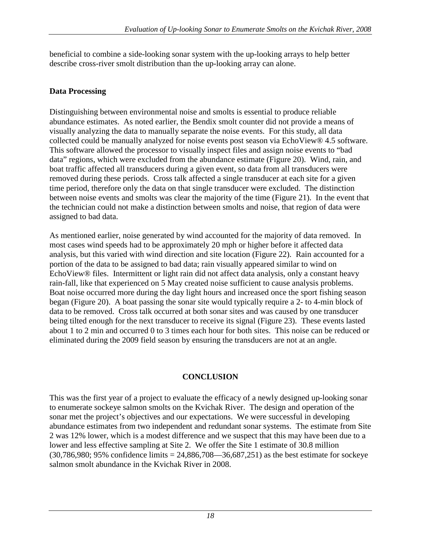beneficial to combine a side-looking sonar system with the up-looking arrays to help better describe cross-river smolt distribution than the up-looking array can alone.

### <span id="page-26-0"></span>**Data Processing**

Distinguishing between environmental noise and smolts is essential to produce reliable abundance estimates. As noted earlier, the Bendix smolt counter did not provide a means of visually analyzing the data to manually separate the noise events. For this study, all data collected could be manually analyzed for noise events post season via EchoView® 4.5 software. This software allowed the processor to visually inspect files and assign noise events to "bad data" regions, which were excluded from the abundance estimate (Figure 20). Wind, rain, and boat traffic affected all transducers during a given event, so data from all transducers were removed during these periods. Cross talk affected a single transducer at each site for a given time period, therefore only the data on that single transducer were excluded. The distinction between noise events and smolts was clear the majority of the time (Figure 21). In the event that the technician could not make a distinction between smolts and noise, that region of data were assigned to bad data.

As mentioned earlier, noise generated by wind accounted for the majority of data removed. In most cases wind speeds had to be approximately 20 mph or higher before it affected data analysis, but this varied with wind direction and site location (Figure 22). Rain accounted for a portion of the data to be assigned to bad data; rain visually appeared similar to wind on EchoView® files. Intermittent or light rain did not affect data analysis, only a constant heavy rain-fall, like that experienced on 5 May created noise sufficient to cause analysis problems. Boat noise occurred more during the day light hours and increased once the sport fishing season began (Figure 20). A boat passing the sonar site would typically require a 2- to 4-min block of data to be removed. Cross talk occurred at both sonar sites and was caused by one transducer being tilted enough for the next transducer to receive its signal (Figure 23). These events lasted about 1 to 2 min and occurred 0 to 3 times each hour for both sites. This noise can be reduced or eliminated during the 2009 field season by ensuring the transducers are not at an angle.

### **CONCLUSION**

<span id="page-26-1"></span>This was the first year of a project to evaluate the efficacy of a newly designed up-looking sonar to enumerate sockeye salmon smolts on the Kvichak River. The design and operation of the sonar met the project's objectives and our expectations. We were successful in developing abundance estimates from two independent and redundant sonar systems. The estimate from Site 2 was 12% lower, which is a modest difference and we suspect that this may have been due to a lower and less effective sampling at Site 2. We offer the Site 1 estimate of 30.8 million  $(30,786,980; 95\%$  confidence limits = 24,886,708—36,687,251) as the best estimate for sockeye salmon smolt abundance in the Kvichak River in 2008.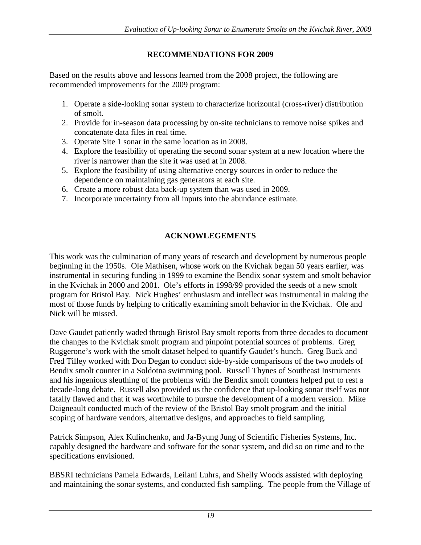### **RECOMMENDATIONS FOR 2009**

<span id="page-27-0"></span>Based on the results above and lessons learned from the 2008 project, the following are recommended improvements for the 2009 program:

- 1. Operate a side-looking sonar system to characterize horizontal (cross-river) distribution of smolt.
- 2. Provide for in-season data processing by on-site technicians to remove noise spikes and concatenate data files in real time.
- 3. Operate Site 1 sonar in the same location as in 2008.
- 4. Explore the feasibility of operating the second sonar system at a new location where the river is narrower than the site it was used at in 2008.
- 5. Explore the feasibility of using alternative energy sources in order to reduce the dependence on maintaining gas generators at each site.
- 6. Create a more robust data back-up system than was used in 2009.
- 7. Incorporate uncertainty from all inputs into the abundance estimate.

## **ACKNOWLEGEMENTS**

<span id="page-27-1"></span>This work was the culmination of many years of research and development by numerous people beginning in the 1950s. Ole Mathisen, whose work on the Kvichak began 50 years earlier, was instrumental in securing funding in 1999 to examine the Bendix sonar system and smolt behavior in the Kvichak in 2000 and 2001. Ole's efforts in 1998/99 provided the seeds of a new smolt program for Bristol Bay. Nick Hughes' enthusiasm and intellect was instrumental in making the most of those funds by helping to critically examining smolt behavior in the Kvichak. Ole and Nick will be missed.

Dave Gaudet patiently waded through Bristol Bay smolt reports from three decades to document the changes to the Kvichak smolt program and pinpoint potential sources of problems. Greg Ruggerone's work with the smolt dataset helped to quantify Gaudet's hunch. Greg Buck and Fred Tilley worked with Don Degan to conduct side-by-side comparisons of the two models of Bendix smolt counter in a Soldotna swimming pool. Russell Thynes of Southeast Instruments and his ingenious sleuthing of the problems with the Bendix smolt counters helped put to rest a decade-long debate. Russell also provided us the confidence that up-looking sonar itself was not fatally flawed and that it was worthwhile to pursue the development of a modern version. Mike Daigneault conducted much of the review of the Bristol Bay smolt program and the initial scoping of hardware vendors, alternative designs, and approaches to field sampling.

Patrick Simpson, Alex Kulinchenko, and Ja-Byung Jung of Scientific Fisheries Systems, Inc. capably designed the hardware and software for the sonar system, and did so on time and to the specifications envisioned.

BBSRI technicians Pamela Edwards, Leilani Luhrs, and Shelly Woods assisted with deploying and maintaining the sonar systems, and conducted fish sampling. The people from the Village of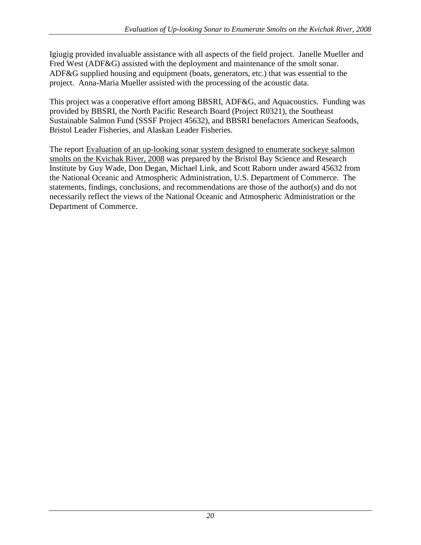Igiugig provided invaluable assistance with all aspects of the field project. Janelle Mueller and Fred West (ADF&G) assisted with the deployment and maintenance of the smolt sonar. ADF&G supplied housing and equipment (boats, generators, etc.) that was essential to the project. Anna-Maria Mueller assisted with the processing of the acoustic data.

This project was a cooperative effort among BBSRI, ADF&G, and Aquacoustics. Funding was provided by BBSRI, the North Pacific Research Board (Project R0321), the Southeast Sustainable Salmon Fund (SSSF Project 45632), and BBSRI benefactors American Seafoods, Bristol Leader Fisheries, and Alaskan Leader Fisheries.

The report Evaluation of an up-looking sonar system designed to enumerate sockeye salmon smolts on the Kvichak River, 2008 was prepared by the Bristol Bay Science and Research Institute by Guy Wade, Don Degan, Michael Link, and Scott Raborn under award 45632 from the National Oceanic and Atmospheric Administration, U.S. Department of Commerce. The statements, findings, conclusions, and recommendations are those of the author(s) and do not necessarily reflect the views of the National Oceanic and Atmospheric Administration or the Department of Commerce.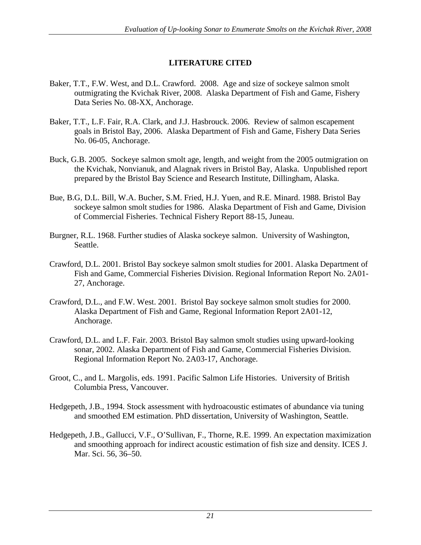### **LITERATURE CITED**

- <span id="page-29-0"></span>Baker, T.T., F.W. West, and D.L. Crawford. 2008. Age and size of sockeye salmon smolt outmigrating the Kvichak River, 2008. Alaska Department of Fish and Game, Fishery Data Series No. 08-XX, Anchorage.
- Baker, T.T., L.F. Fair, R.A. Clark, and J.J. Hasbrouck. 2006. Review of salmon escapement goals in Bristol Bay, 2006. Alaska Department of Fish and Game, Fishery Data Series No. 06-05, Anchorage.
- Buck, G.B. 2005. Sockeye salmon smolt age, length, and weight from the 2005 outmigration on the Kvichak, Nonvianuk, and Alagnak rivers in Bristol Bay, Alaska. Unpublished report prepared by the Bristol Bay Science and Research Institute, Dillingham, Alaska.
- Bue, B.G, D.L. Bill, W.A. Bucher, S.M. Fried, H.J. Yuen, and R.E. Minard. 1988. Bristol Bay sockeye salmon smolt studies for 1986. Alaska Department of Fish and Game, Division of Commercial Fisheries. Technical Fishery Report 88-15, Juneau.
- Burgner, R.L. 1968. Further studies of Alaska sockeye salmon. University of Washington, Seattle.
- Crawford, D.L. 2001. Bristol Bay sockeye salmon smolt studies for 2001. Alaska Department of Fish and Game, Commercial Fisheries Division. Regional Information Report No. 2A01- 27, Anchorage.
- Crawford, D.L., and F.W. West. 2001. Bristol Bay sockeye salmon smolt studies for 2000. Alaska Department of Fish and Game, Regional Information Report 2A01-12, Anchorage.
- Crawford, D.L. and L.F. Fair. 2003. Bristol Bay salmon smolt studies using upward-looking sonar, 2002. Alaska Department of Fish and Game, Commercial Fisheries Division. Regional Information Report No. 2A03-17, Anchorage.
- Groot, C., and L. Margolis, eds. 1991. Pacific Salmon Life Histories. University of British Columbia Press, Vancouver.
- Hedgepeth, J.B., 1994. Stock assessment with hydroacoustic estimates of abundance via tuning and smoothed EM estimation. PhD dissertation, University of Washington, Seattle.
- Hedgepeth, J.B., Gallucci, V.F., O'Sullivan, F., Thorne, R.E. 1999. An expectation maximization and smoothing approach for indirect acoustic estimation of fish size and density. ICES J. Mar. Sci. 56, 36–50.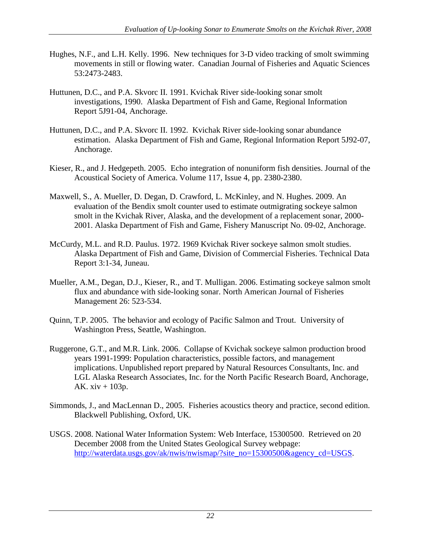- Hughes, N.F., and L.H. Kelly. 1996. New techniques for 3-D video tracking of smolt swimming movements in still or flowing water. Canadian Journal of Fisheries and Aquatic Sciences 53:2473-2483.
- Huttunen, D.C., and P.A. Skvorc II. 1991. Kvichak River side-looking sonar smolt investigations, 1990. Alaska Department of Fish and Game, Regional Information Report 5J91-04, Anchorage.
- Huttunen, D.C., and P.A. Skvorc II. 1992. Kvichak River side-looking sonar abundance estimation. Alaska Department of Fish and Game, Regional Information Report 5J92-07, Anchorage.
- Kieser, R., and J. Hedgepeth. 2005. Echo integration of nonuniform fish densities. Journal of the Acoustical Society of America. Volume 117, Issue 4, pp. 2380-2380.
- Maxwell, S., A. Mueller, D. Degan, D. Crawford, L. McKinley, and N. Hughes. 2009. An evaluation of the Bendix smolt counter used to estimate outmigrating sockeye salmon smolt in the Kvichak River, Alaska, and the development of a replacement sonar, 2000- 2001. Alaska Department of Fish and Game, Fishery Manuscript No. 09-02, Anchorage.
- McCurdy, M.L. and R.D. Paulus. 1972. 1969 Kvichak River sockeye salmon smolt studies. Alaska Department of Fish and Game, Division of Commercial Fisheries. Technical Data Report 3:1-34, Juneau.
- Mueller, A.M., Degan, D.J., Kieser, R., and T. Mulligan. 2006. Estimating sockeye salmon smolt flux and abundance with side-looking sonar. North American Journal of Fisheries Management 26: 523-534.
- Quinn, T.P. 2005. The behavior and ecology of Pacific Salmon and Trout. University of Washington Press, Seattle, Washington.
- Ruggerone, G.T., and M.R. Link. 2006. Collapse of Kvichak sockeye salmon production brood years 1991-1999: Population characteristics, possible factors, and management implications. Unpublished report prepared by Natural Resources Consultants, Inc. and LGL Alaska Research Associates, Inc. for the North Pacific Research Board, Anchorage, AK. xiv + 103p.
- Simmonds, J., and MacLennan D., 2005. Fisheries acoustics theory and practice, second edition. Blackwell Publishing, Oxford, UK.
- USGS. 2008. National Water Information System: Web Interface, 15300500. Retrieved on 20 December 2008 from the United States Geological Survey webpage: [http://waterdata.usgs.gov/ak/nwis/nwismap/?site\\_no=15300500&agency\\_cd=USGS.](http://waterdata.usgs.gov/ak/nwis/nwismap/?site_no=15300500&agency_cd=USGS)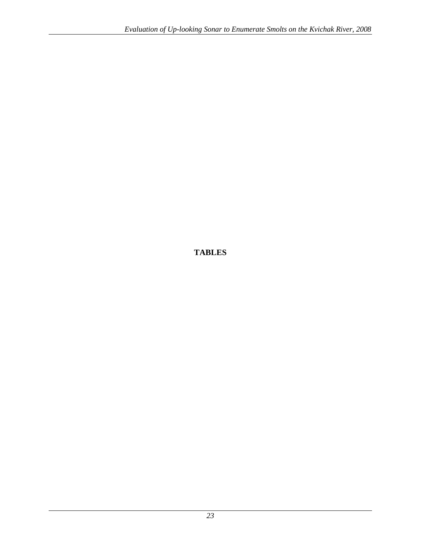<span id="page-31-1"></span><span id="page-31-0"></span>**TABLES**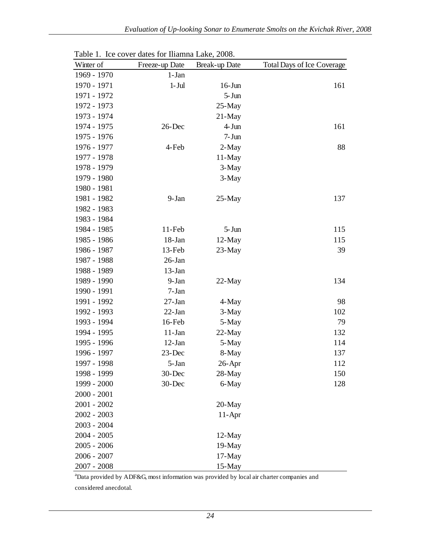| Winter of     | Freeze-up Date | Break-up Date | <b>Total Days of Ice Coverage</b> |
|---------------|----------------|---------------|-----------------------------------|
| 1969 - 1970   | $1-Jan$        |               |                                   |
| 1970 - 1971   | $1-Jul$        | $16$ -Jun     | 161                               |
| 1971 - 1972   |                | $5 - Jun$     |                                   |
| 1972 - 1973   |                | $25-May$      |                                   |
| 1973 - 1974   |                | $21$ -May     |                                   |
| 1974 - 1975   | $26$ -Dec      | 4-Jun         | 161                               |
| 1975 - 1976   |                | $7 - Jun$     |                                   |
| 1976 - 1977   | 4-Feb          | 2-May         | 88                                |
| 1977 - 1978   |                | $11$ -May     |                                   |
| 1978 - 1979   |                | 3-May         |                                   |
| 1979 - 1980   |                | 3-May         |                                   |
| 1980 - 1981   |                |               |                                   |
| 1981 - 1982   | 9-Jan          | $25$ -May     | 137                               |
| 1982 - 1983   |                |               |                                   |
| 1983 - 1984   |                |               |                                   |
| 1984 - 1985   | $11$ -Feb      | $5 - Jun$     | 115                               |
| 1985 - 1986   | 18-Jan         | $12$ -May     | 115                               |
| 1986 - 1987   | 13-Feb         | 23-May        | 39                                |
| 1987 - 1988   | 26-Jan         |               |                                   |
| 1988 - 1989   | 13-Jan         |               |                                   |
| 1989 - 1990   | 9-Jan          | $22-May$      | 134                               |
| 1990 - 1991   | $7-Jan$        |               |                                   |
| 1991 - 1992   | $27 - Jan$     | 4-May         | 98                                |
| 1992 - 1993   | $22$ -Jan      | 3-May         | 102                               |
| 1993 - 1994   | 16-Feb         | 5-May         | 79                                |
| 1994 - 1995   | $11-Jan$       | 22-May        | 132                               |
| 1995 - 1996   | $12$ -Jan      | 5-May         | 114                               |
| 1996 - 1997   | 23-Dec         | 8-May         | 137                               |
| 1997 - 1998   | 5-Jan          | $26$ -Apr     | 112                               |
| 1998 - 1999   | $30$ -Dec      | 28-May        | 150                               |
| 1999 - 2000   | 30-Dec         | 6-May         | 128                               |
| $2000 - 2001$ |                |               |                                   |
| $2001 - 2002$ |                | 20-May        |                                   |
| $2002 - 2003$ |                | $11-Apr$      |                                   |
| $2003 - 2004$ |                |               |                                   |
| $2004 - 2005$ |                | 12-May        |                                   |
| $2005 - 2006$ |                | 19-May        |                                   |
| $2006 - 2007$ |                | $17-May$      |                                   |
| $2007 - 2008$ |                | 15-May        |                                   |

<span id="page-32-0"></span>Table 1. Ice cover dates for Iliamna Lake, 2008.

<sup>a</sup>Data provided by ADF&G, most information was provided by local air charter companies and considered anecdotal.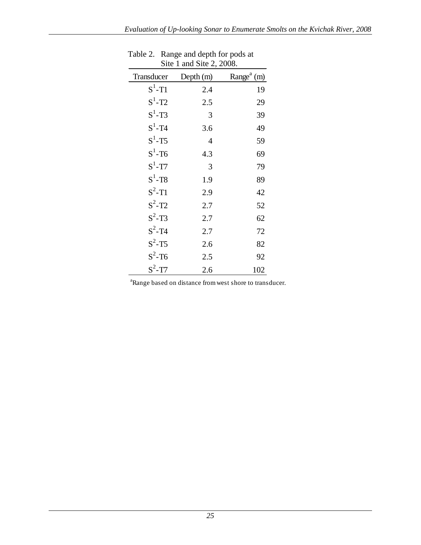| Site 1 and Site 2, 2008. |           |                           |  |  |  |
|--------------------------|-----------|---------------------------|--|--|--|
| Transducer               | Depth (m) | Range <sup>a</sup><br>(m) |  |  |  |
| $S^1$ -T1                | 2.4       | 19                        |  |  |  |
| $S^1$ -T2                | 2.5       | 29                        |  |  |  |
| $S^1$ -T3                | 3         | 39                        |  |  |  |
| $S^1$ -T4                | 3.6       | 49                        |  |  |  |
| $S^1$ -T5                | 4         | 59                        |  |  |  |
| $S^1$ -T6                | 4.3       | 69                        |  |  |  |
| $S^1$ -T7                | 3         | 79                        |  |  |  |
| $S^1$ -T <sub>8</sub>    | 1.9       | 89                        |  |  |  |
| $S^2$ -T1                | 2.9       | 42                        |  |  |  |
| $S^2$ -T <sub>2</sub>    | 2.7       | 52                        |  |  |  |
| $S^2$ -T3                | 2.7       | 62                        |  |  |  |
| $S^2$ -T <sub>4</sub>    | 2.7       | 72                        |  |  |  |
| $S^2$ -T5                | 2.6       | 82                        |  |  |  |
| $S^2$ -T6                | 2.5       | 92                        |  |  |  |
| $S^2$ -T7                | 2.6       | 102                       |  |  |  |

| Table 2. Range and depth for pods at |
|--------------------------------------|
| Site 1 and Site 2, 2008.             |

<span id="page-33-0"></span><sup>a</sup>Range based on distance from west shore to transducer.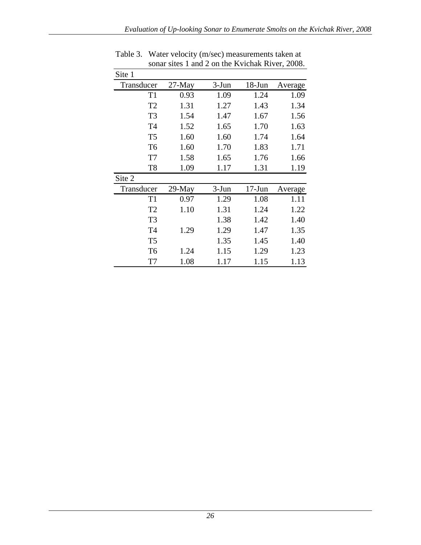| Site 1         |           |         |            |         |
|----------------|-----------|---------|------------|---------|
| Transducer     | $27$ -May | $3-Jun$ | $18 - Jun$ | Average |
| T1             | 0.93      | 1.09    | 1.24       | 1.09    |
| T <sub>2</sub> | 1.31      | 1.27    | 1.43       | 1.34    |
| T <sub>3</sub> | 1.54      | 1.47    | 1.67       | 1.56    |
| T <sub>4</sub> | 1.52      | 1.65    | 1.70       | 1.63    |
| T <sub>5</sub> | 1.60      | 1.60    | 1.74       | 1.64    |
| T <sub>6</sub> | 1.60      | 1.70    | 1.83       | 1.71    |
| T <sub>7</sub> | 1.58      | 1.65    | 1.76       | 1.66    |
| T <sub>8</sub> | 1.09      | 1.17    | 1.31       | 1.19    |
| Site 2         |           |         |            |         |
| Transducer     | 29-May    | $3-Jun$ | $17-Jun$   | Average |
| T1             | 0.97      | 1.29    | 1.08       | 1.11    |
| T <sub>2</sub> | 1.10      | 1.31    | 1.24       | 1.22    |
| T <sub>3</sub> |           | 1.38    | 1.42       | 1.40    |
| T <sub>4</sub> | 1.29      | 1.29    | 1.47       | 1.35    |
| T <sub>5</sub> |           | 1.35    | 1.45       | 1.40    |
| T <sub>6</sub> | 1.24      | 1.15    | 1.29       | 1.23    |
| T7             | 1.08      | 1.17    | 1.15       | 1.13    |

Table 3. Water velocity (m/sec) measurements taken at sonar sites 1 and 2 on the Kvichak River, 2008.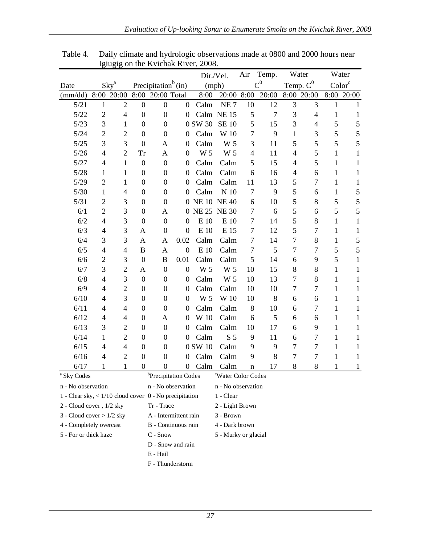|                       |                                                                                              |                  |                  |                                 |                  |                | Dir./Vel.           | Air            | Temp.          |                          | Water          |                    | Water         |
|-----------------------|----------------------------------------------------------------------------------------------|------------------|------------------|---------------------------------|------------------|----------------|---------------------|----------------|----------------|--------------------------|----------------|--------------------|---------------|
| Date                  |                                                                                              | Sky <sup>a</sup> |                  | Precipitation <sup>b</sup> (in) |                  |                | (mph)               |                | $C^0$          |                          | Temp. $C^0$    | Color <sup>c</sup> |               |
| $\text{mm}/\text{dd}$ | 8:00                                                                                         | 20:00            | 8:00             | 20:00 Total                     |                  | 8:00           | 20:00 8:00          |                | 20:00          |                          | 8:00 20:00     |                    | 8:00 20:00    |
| 5/21                  | $\mathbf{1}$                                                                                 | $\overline{2}$   | $\boldsymbol{0}$ | $\mathbf{0}$                    | $\overline{0}$   | Calm           | NE <sub>7</sub>     | 10             | 12             | 3                        | 3              | $\mathbf{1}$       | $\mathbf{1}$  |
| 5/22                  | $\overline{2}$                                                                               | $\overline{4}$   | $\boldsymbol{0}$ | $\boldsymbol{0}$                | $\boldsymbol{0}$ |                | Calm NE 15          | 5              | $\overline{7}$ | 3                        | $\overline{4}$ | 1                  | 1             |
| 5/23                  | 3                                                                                            | 1                | $\overline{0}$   | $\overline{0}$                  |                  | 0 SW 30        | <b>SE 10</b>        | 5              | 15             | 3                        | 4              | 5                  | 5             |
| 5/24                  | $\overline{2}$                                                                               | $\overline{c}$   | $\boldsymbol{0}$ | $\boldsymbol{0}$                | $\boldsymbol{0}$ | Calm           | W 10                | $\overline{7}$ | 9              | $\mathbf{1}$             | 3              | 5                  | 5             |
| $5/25$                | 3                                                                                            | 3                | $\overline{0}$   | A                               | $\overline{0}$   | Calm           | W 5                 | 3              | 11             | 5                        | 5              | 5                  | 5             |
| $5/26$                | $\overline{4}$                                                                               | $\overline{2}$   | Tr               | A                               | $\overline{0}$   | W <sub>5</sub> | W 5                 | $\overline{4}$ | 11             | $\overline{\mathcal{L}}$ | 5              | 1                  | $\mathbf{1}$  |
| 5/27                  | $\overline{4}$                                                                               | $\mathbf{1}$     | $\boldsymbol{0}$ | $\boldsymbol{0}$                | $\overline{0}$   | Calm           | Calm                | 5              | 15             | $\overline{\mathcal{A}}$ | 5              | $\mathbf{1}$       | $\mathbf{1}$  |
| 5/28                  | 1                                                                                            | 1                | $\overline{0}$   | $\boldsymbol{0}$                | $\overline{0}$   | Calm           | Calm                | 6              | 16             | $\overline{\mathcal{L}}$ | 6              | 1                  | 1             |
| 5/29                  | $\overline{2}$                                                                               | 1                | $\overline{0}$   | $\overline{0}$                  | $\overline{0}$   | Calm           | Calm                | 11             | 13             | 5                        | 7              | 1                  | $\mathbf{1}$  |
| 5/30                  | $\mathbf{1}$                                                                                 | $\overline{4}$   | $\overline{0}$   | $\overline{0}$                  | $\overline{0}$   | Calm           | $\,$ N $\,$ 10 $\,$ | $\overline{7}$ | 9              | 5                        | 6              | $\mathbf{1}$       | $\mathfrak s$ |
| 5/31                  | $\overline{2}$                                                                               | 3                | $\overline{0}$   | $\overline{0}$                  | $\theta$         |                | <b>NE 10 NE 40</b>  | 6              | 10             | 5                        | 8              | 5                  | 5             |
| 6/1                   | $\overline{2}$                                                                               | 3                | $\overline{0}$   | A                               | 0                | <b>NE 25</b>   | <b>NE30</b>         | $\overline{7}$ | 6              | 5                        | 6              | 5                  | 5             |
| 6/2                   | $\overline{4}$                                                                               | 3                | $\boldsymbol{0}$ | $\mathbf{0}$                    | $\mathbf{0}$     | E 10           | E 10                | $\overline{7}$ | 14             | 5                        | 8              | $\mathbf{1}$       | $\mathbf{1}$  |
| 6/3                   | $\overline{4}$                                                                               | 3                | A                | $\boldsymbol{0}$                | $\overline{0}$   | E 10           | E 15                | $\overline{7}$ | 12             | 5                        | 7              | 1                  | $\mathbf 1$   |
| 6/4                   | 3                                                                                            | 3                | A                | A                               | 0.02             | Calm           | Calm                | 7              | 14             | 7                        | 8              | 1                  | $\mathfrak s$ |
| 6/5                   | 4                                                                                            | $\overline{4}$   | $\, {\bf B}$     | A                               | $\boldsymbol{0}$ | E 10           | Calm                | $\overline{7}$ | 5              | 7                        | 7              | 5                  | 5             |
| 6/6                   | $\overline{c}$                                                                               | 3                | $\overline{0}$   | B                               | 0.01             | Calm           | Calm                | 5              | 14             | 6                        | 9              | 5                  | $\mathbf{1}$  |
| 6/7                   | 3                                                                                            | $\overline{c}$   | A                | $\boldsymbol{0}$                | $\boldsymbol{0}$ | W 5            | W 5                 | 10             | 15             | 8                        | 8              | 1                  | 1             |
| 6/8                   | 4                                                                                            | 3                | $\boldsymbol{0}$ | $\boldsymbol{0}$                | $\boldsymbol{0}$ | Calm           | W 5                 | 10             | 13             | 7                        | 8              | $\mathbf{1}$       | 1             |
| 6/9                   | $\overline{4}$                                                                               | $\overline{c}$   | $\overline{0}$   | $\boldsymbol{0}$                | $\overline{0}$   | Calm           | Calm                | 10             | 10             | 7                        | 7              | 1                  | 1             |
| 6/10                  | 4                                                                                            | 3                | $\overline{0}$   | $\overline{0}$                  | $\overline{0}$   | W 5            | W 10                | 10             | 8              | 6                        | 6              | $\mathbf{1}$       | 1             |
| 6/11                  | 4                                                                                            | $\overline{4}$   | $\boldsymbol{0}$ | $\overline{0}$                  | $\boldsymbol{0}$ | Calm           | Calm                | 8              | 10             | 6                        | 7              | $\mathbf{1}$       | 1             |
| 6/12                  | $\overline{4}$                                                                               | 4                | $\overline{0}$   | A                               | $\overline{0}$   | W 10           | Calm                | 6              | 5              | 6                        | 6              | 1                  | 1             |
| 6/13                  | 3                                                                                            | $\overline{c}$   | $\mathbf{0}$     | $\overline{0}$                  | $\theta$         | Calm           | Calm                | 10             | 17             | 6                        | 9              | 1                  | 1             |
| 6/14                  | $\mathbf{1}$                                                                                 | $\overline{2}$   | $\mathbf{0}$     | $\overline{0}$                  | $\overline{0}$   | Calm           | S <sub>5</sub>      | 9              | 11             | 6                        | 7              | $\mathbf{1}$       | 1             |
| 6/15                  | 4                                                                                            | $\overline{4}$   | $\mathbf{0}$     | $\overline{0}$                  |                  | 0 SW 10        | Calm                | 9              | 9              | 7                        | 7              | $\mathbf{1}$       | 1             |
| 6/16                  | 4                                                                                            | $\overline{2}$   | $\overline{0}$   | $\overline{0}$                  | $\overline{0}$   | Calm           | Calm                | 9              | 8              | $\overline{7}$           | 7              | $\mathbf{1}$       | 1             |
| 6/17                  | 1                                                                                            | $\mathbf{1}$     | $\overline{0}$   | $\overline{0}$                  | $\overline{0}$   | Calm           | Calm                | $\mathbf n$    | 17             | 8                        | 8              | 1                  | 1             |
|                       | <sup>b</sup> Precipitation Codes<br><sup>a</sup> Sky Codes<br><sup>c</sup> Water Color Codes |                  |                  |                                 |                  |                |                     |                |                |                          |                |                    |               |

<span id="page-35-0"></span>Table 4. Daily climate and hydrologic observations made at 0800 and 2000 hours near Igiugig on the Kvichak River, 2008.

<span id="page-35-1"></span>

| <sup>a</sup> Sky Codes                                     | <sup>b</sup> Precipitation Codes | "Water Color Codes"  |
|------------------------------------------------------------|----------------------------------|----------------------|
| n - No observation                                         | n - No observation               | n - No observation   |
| 1 - Clear sky, $\lt 1/10$ cloud cover 0 - No precipitation |                                  | 1 - Clear            |
| 2 - Cloud cover, 1/2 sky                                   | Tr - Trace                       | 2 - Light Brown      |
| 3 - Cloud cover $>1/2$ sky                                 | A - Intermittent rain            | 3 - Brown            |
| 4 - Completely overcast                                    | B - Continuous rain              | 4 - Dark brown       |
| 5 - For or thick haze                                      | $C - Snow$                       | 5 - Murky or glacial |
|                                                            | D - Snow and rain                |                      |
|                                                            | E - Hail                         |                      |
|                                                            | F - Thunderstorm                 |                      |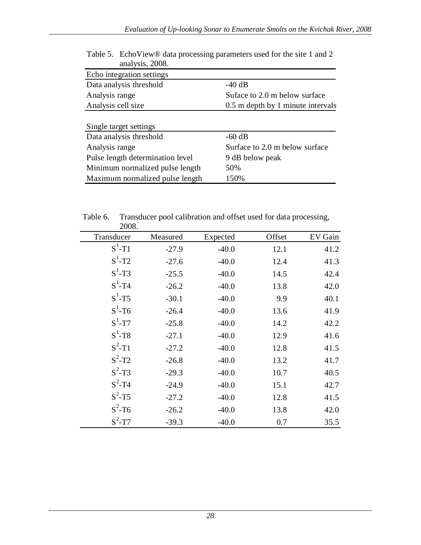| analysis, $2008$ .               |                                   |
|----------------------------------|-----------------------------------|
| Echo integration settings        |                                   |
| Data analysis threshold          | $-40$ dB                          |
| Analysis range                   | Suface to 2.0 m below surface     |
| Analysis cell size               | 0.5 m depth by 1 minute intervals |
| Single target settings           |                                   |
| Data analysis threshold          | $-60$ dB                          |
| Analysis range                   | Surface to 2.0 m below surface    |
| Pulse length determination level | 9 dB below peak                   |
| Minimum normalized pulse length  | 50%                               |
| Maximum normalized pulse length  | 150%                              |

Table 5. EchoView® data processing parameters used for the site 1 and 2 analysis, 2008.

<span id="page-36-0"></span>

| 2008.                 |          |          |        | ے       |
|-----------------------|----------|----------|--------|---------|
| Transducer            | Measured | Expected | Offset | EV Gain |
| $S^1$ -T1             | $-27.9$  | $-40.0$  | 12.1   | 41.2    |
| $S^1$ -T2             | $-27.6$  | $-40.0$  | 12.4   | 41.3    |
| $S^1$ -T3             | $-25.5$  | $-40.0$  | 14.5   | 42.4    |
| $S^1$ -T <sub>4</sub> | $-26.2$  | $-40.0$  | 13.8   | 42.0    |
| $S^1$ -T5             | $-30.1$  | $-40.0$  | 9.9    | 40.1    |
| $S^1$ -T6             | $-26.4$  | $-40.0$  | 13.6   | 41.9    |
| $S^1$ -T7             | $-25.8$  | $-40.0$  | 14.2   | 42.2    |
| $S^1$ -T <sub>8</sub> | $-27.1$  | $-40.0$  | 12.9   | 41.6    |
| $S^2$ -T1             | $-27.2$  | $-40.0$  | 12.8   | 41.5    |
| $S^2$ -T <sub>2</sub> | $-26.8$  | $-40.0$  | 13.2   | 41.7    |
| $S^2$ -T3             | $-29.3$  | $-40.0$  | 10.7   | 40.5    |
| $S^2$ -T <sub>4</sub> | $-24.9$  | $-40.0$  | 15.1   | 42.7    |
| $S^2$ -T5             | $-27.2$  | $-40.0$  | 12.8   | 41.5    |
| $S^2$ -T <sub>6</sub> | $-26.2$  | $-40.0$  | 13.8   | 42.0    |
| $S^2$ -T7             | $-39.3$  | $-40.0$  | 0.7    | 35.5    |

Table 6. Transducer pool calibration and offset used for data processing,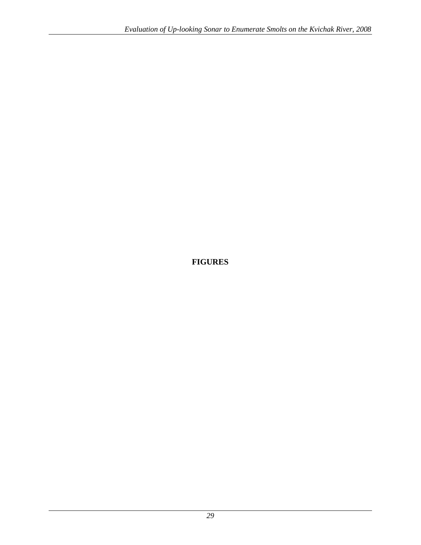### <span id="page-37-0"></span>**FIGURES**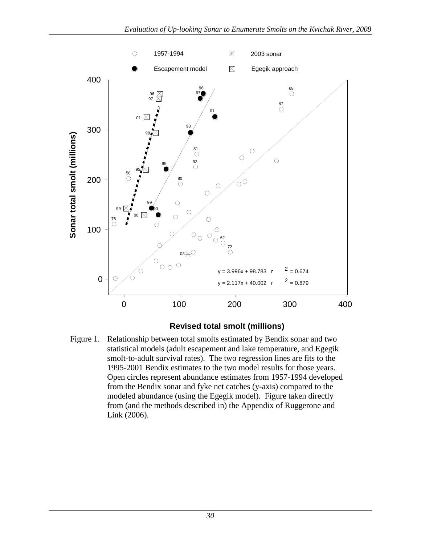

#### **Revised total smolt (millions)**

Figure 1. Relationship between total smolts estimated by Bendix sonar and two statistical models (adult escapement and lake temperature, and Egegik smolt-to-adult survival rates). The two regression lines are fits to the 1995-2001 Bendix estimates to the two model results for those years. Open circles represent abundance estimates from 1957-1994 developed from the Bendix sonar and fyke net catches (y-axis) compared to the modeled abundance (using the Egegik model). Figure taken directly from (and the methods described in) the Appendix of Ruggerone and Link (2006).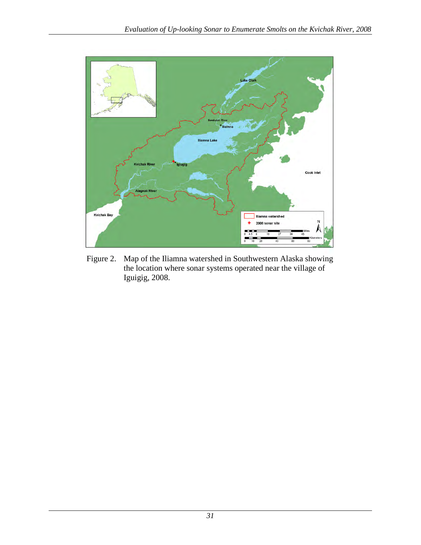

<span id="page-39-0"></span>Figure 2. Map of the Iliamna watershed in Southwestern Alaska showing the location where sonar systems operated near the village of Iguigig, 2008.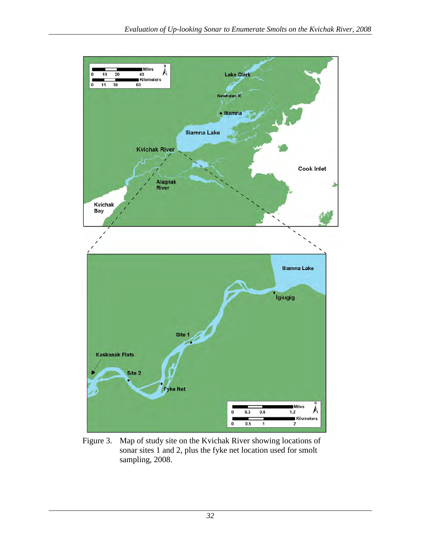

<span id="page-40-0"></span>Figure 3. Map of study site on the Kvichak River showing locations of sonar sites 1 and 2, plus the fyke net location used for smolt sampling, 2008.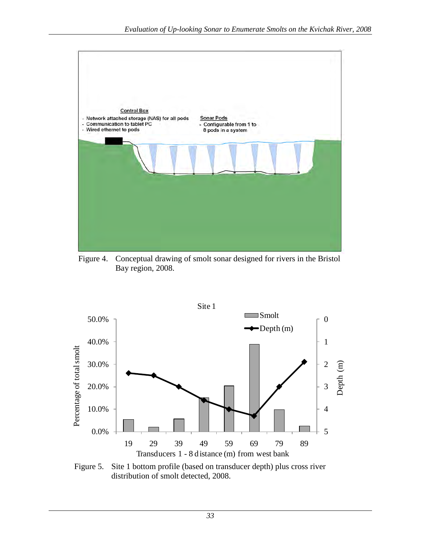

<span id="page-41-0"></span>Figure 4. Conceptual drawing of smolt sonar designed for rivers in the Bristol Bay region, 2008.



<span id="page-41-1"></span>Figure 5. Site 1 bottom profile (based on transducer depth) plus cross river distribution of smolt detected, 2008.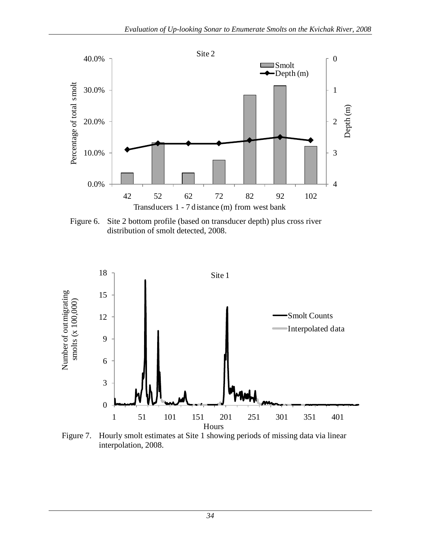

<span id="page-42-0"></span>Figure 6. Site 2 bottom profile (based on transducer depth) plus cross river distribution of smolt detected, 2008.



<span id="page-42-1"></span>Figure 7. Hourly smolt estimates at Site 1 showing periods of missing data via linear interpolation, 2008.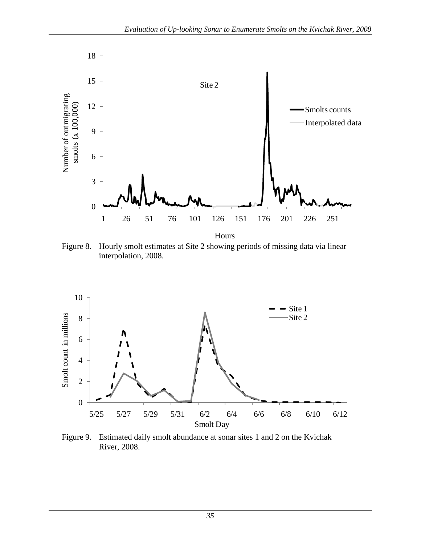

<span id="page-43-0"></span>Figure 8. Hourly smolt estimates at Site 2 showing periods of missing data via linear interpolation, 2008.



<span id="page-43-1"></span>Figure 9. Estimated daily smolt abundance at sonar sites 1 and 2 on the Kvichak River, 2008.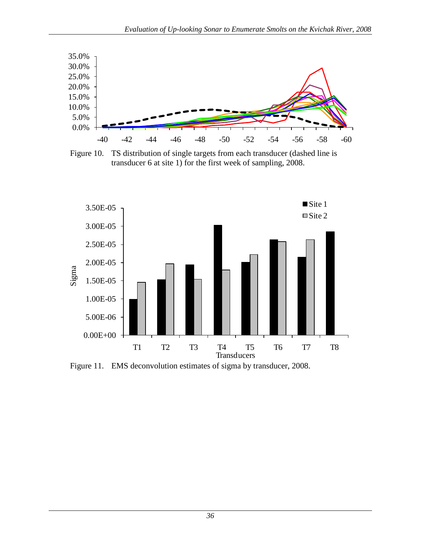

<span id="page-44-0"></span>Figure 10. TS distribution of single targets from each transducer (dashed line is transducer 6 at site 1) for the first week of sampling, 2008.



<span id="page-44-1"></span>Figure 11. EMS deconvolution estimates of sigma by transducer, 2008.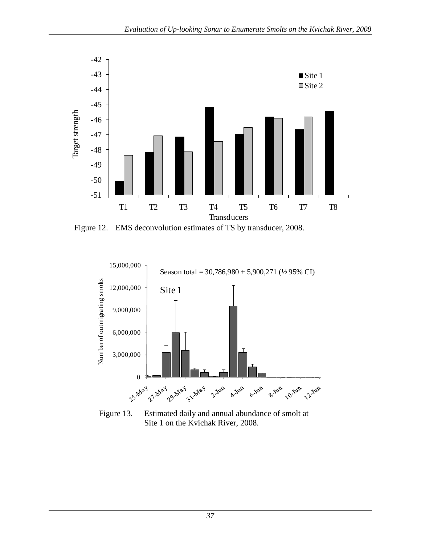

<span id="page-45-0"></span>Figure 12. EMS deconvolution estimates of TS by transducer, 2008.



<span id="page-45-1"></span>Figure 13. Estimated daily and annual abundance of smolt at Site 1 on the Kvichak River, 2008.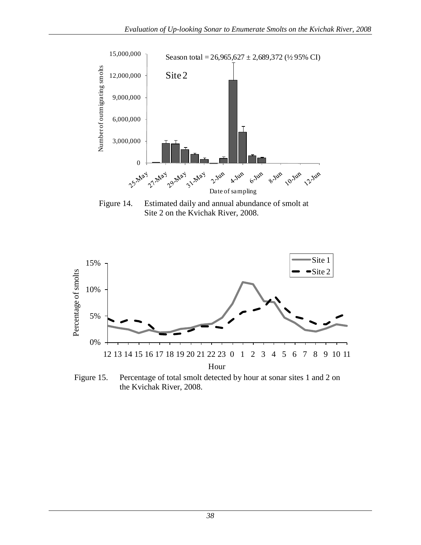

<span id="page-46-0"></span>Figure 14. Estimated daily and annual abundance of smolt at Site 2 on the Kvichak River, 2008.



<span id="page-46-1"></span>Figure 15. Percentage of total smolt detected by hour at sonar sites 1 and 2 on the Kvichak River, 2008.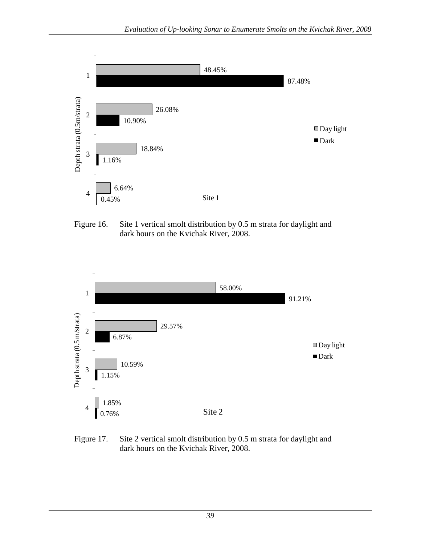

<span id="page-47-0"></span>Figure 16. Site 1 vertical smolt distribution by 0.5 m strata for daylight and dark hours on the Kvichak River, 2008.



<span id="page-47-1"></span>Figure 17. Site 2 vertical smolt distribution by 0.5 m strata for daylight and dark hours on the Kvichak River, 2008.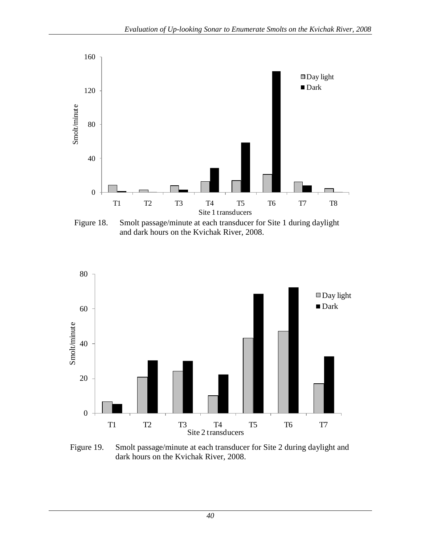

<span id="page-48-0"></span>Figure 18. Smolt passage/minute at each transducer for Site 1 during daylight and dark hours on the Kvichak River, 2008.



<span id="page-48-1"></span>Figure 19. Smolt passage/minute at each transducer for Site 2 during daylight and dark hours on the Kvichak River, 2008.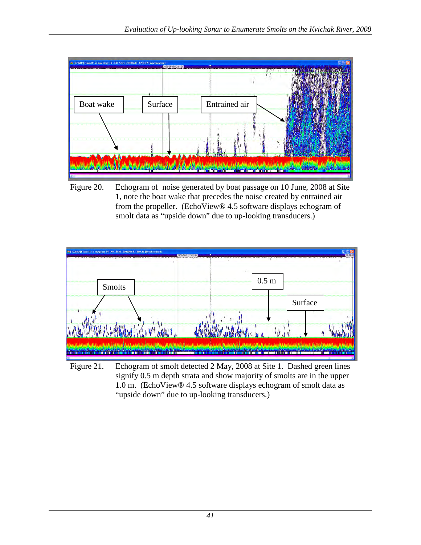

<span id="page-49-0"></span>Figure 20. Echogram of noise generated by boat passage on 10 June, 2008 at Site 1, note the boat wake that precedes the noise created by entrained air from the propeller. (EchoView® 4.5 software displays echogram of smolt data as "upside down" due to up-looking transducers.)

<span id="page-49-1"></span>

Figure 21. Echogram of smolt detected 2 May, 2008 at Site 1. Dashed green lines signify 0.5 m depth strata and show majority of smolts are in the upper 1.0 m. (EchoView® 4.5 software displays echogram of smolt data as "upside down" due to up-looking transducers.)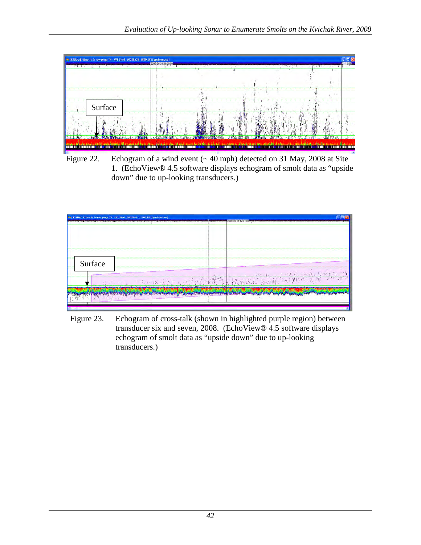<span id="page-50-0"></span>

Figure 22. Echogram of a wind event (~40 mph) detected on 31 May, 2008 at Site 1. (EchoView® 4.5 software displays echogram of smolt data as "upside down" due to up-looking transducers.)



<span id="page-50-1"></span>Figure 23. Echogram of cross-talk (shown in highlighted purple region) between transducer six and seven, 2008. (EchoView® 4.5 software displays echogram of smolt data as "upside down" due to up-looking transducers.)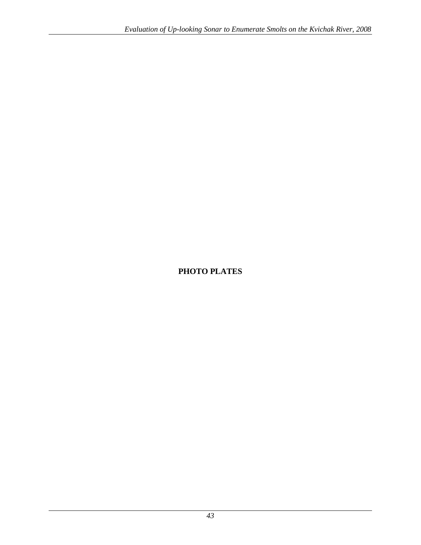### <span id="page-51-0"></span>**PHOTO PLATES**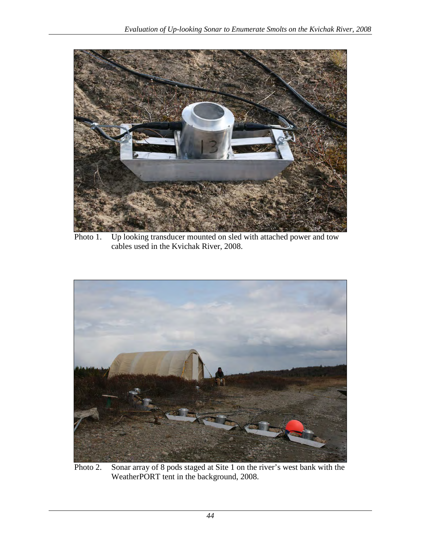

Photo 1. Up looking transducer mounted on sled with attached power and tow cables used in the Kvichak River, 2008.

<span id="page-52-1"></span><span id="page-52-0"></span>

Photo 2. Sonar array of 8 pods staged at Site 1 on the river's west bank with the WeatherPORT tent in the background, 2008.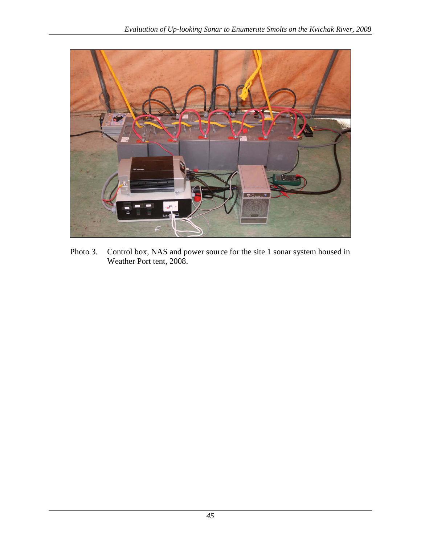

<span id="page-53-0"></span>Photo 3. Control box, NAS and power source for the site 1 sonar system housed in Weather Port tent, 2008.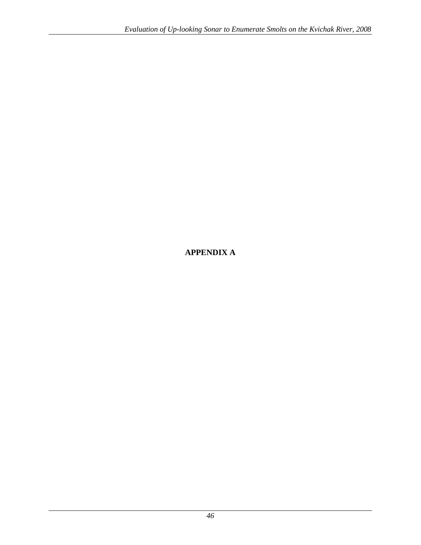# <span id="page-54-0"></span>**APPENDIX A**